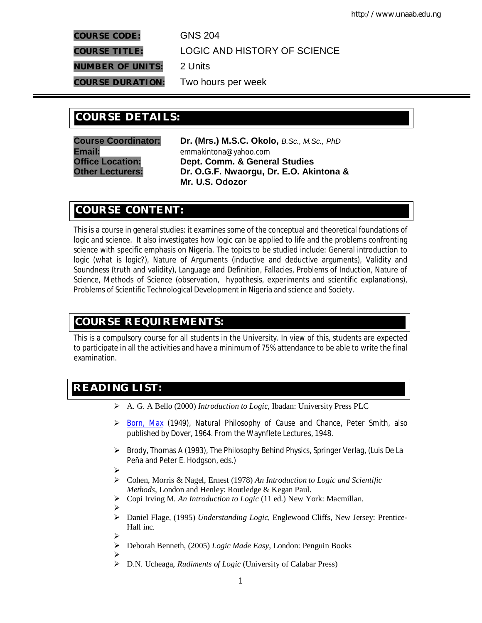**COURSE CODE:** GNS 204

**COURSE TITLE:** LOGIC AND HISTORY OF SCIENCE

**NUMBER OF UNITS:** 2 Units

**COURSE DURATION:** Two hours per week

# **COURSE DETAILS: COURSE DETAILS:**

**Course Coordinator: Dr. (Mrs.) M.S.C. Okolo,** *B.Sc., M.Sc., PhD* **Email:**<br>**Office Location:** emmakintona@yahoo.com<br>**Dept. Comm. & Gener Office Location: Dept. Comm. & General Studies Other Lecturers: Dr. O.G.F. Nwaorgu, Dr. E.O. Akintona & Mr. U.S. Odozor**

## **COURSE CONTENT:**

This is a course in general studies: it examines some of the conceptual and theoretical foundations of logic and science. It also investigates how logic can be applied to life and the problems confronting science with specific emphasis on Nigeria. The topics to be studied include: General introduction to logic (what is logic?), Nature of Arguments (inductive and deductive arguments), Validity and Soundness (truth and validity), Language and Definition, Fallacies, Problems of Induction, Nature of Science, Methods of Science (observation, hypothesis, experiments and scientific explanations), Problems of Scientific Technological Development in Nigeria and science and Society.

## **COURSE REQUIREMENTS:**

This is a compulsory course for all students in the University. In view of this, students are expected to participate in all the activities and have a minimum of 75% attendance to be able to write the final examination.

# **READING LIST:**

- A. G. A Bello (2000) *Introduction to Logic*, Ibadan: University Press PLC
- Born, Max (1949), *Natural Philosophy of Cause and Chance*, Peter Smith, also published by Dover, 1964. From the Waynflete Lectures, 1948.
- Brody, Thomas A (1993), *The Philosophy Behind Physics*, Springer Verlag, (Luis De La Peña and Peter E. Hodgson, eds.)
- ➤
- Cohen, Morris & Nagel, Ernest (1978) *An Introduction to Logic and Scientific Methods*, London and Henley: Routledge & Kegan Paul.
- Copi Irving M. *An Introduction to Logic* (11 ed.) New York: Macmillan.
- ➤
- Daniel Flage, (1995) *Understanding Logic*, Englewood Cliffs, New Jersey: Prentice-Hall inc.
	- $\blacktriangleright$
	- Deborah Benneth, (2005) *Logic Made Easy*, London: Penguin Books
	- $\blacktriangleright$
	- D.N. Ucheaga, *Rudiments of Logic* (University of Calabar Press)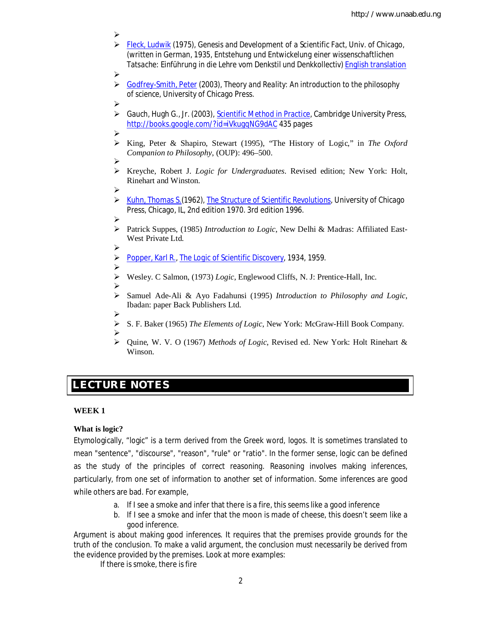- ➤ Fleck, Ludwik (1975), *Genesis and Development of a Scientific Fact*, Univ. of Chicago, (written in German, 1935, *Entstehung und Entwickelung einer wissenschaftlichen Tatsache: Einführung in die Lehre vom Denkstil und Denkkollectiv*) English translation
- $\blacktriangleright$
- Godfrey-Smith, Peter (2003), *Theory and Reality: An introduction to the philosophy of science*, University of Chicago Press.
- ➤
- Gauch, Hugh G., Jr. (2003), *Scientific Method in Practice*, Cambridge University Press, http://books.google.com/?id=iVkugqNG9dAC 435 pages
- $\blacktriangleright$
- King, Peter & Shapiro, Stewart (1995), "The History of Logic," in *The Oxford Companion to Philosophy*, (OUP): 496–500.
- ➤
- Kreyche, Robert J. *Logic for Undergraduates*. Revised edition; New York: Holt, Rinehart and Winston.
- $\triangleright$
- Kuhn, Thomas S.(1962), *The Structure of Scientific Revolutions*, University of Chicago Press, Chicago, IL, 2nd edition 1970. 3rd edition 1996.
- ➤
- Patrick Suppes, (1985) *Introduction to Logic*, New Delhi & Madras: Affiliated East-West Private Ltd.
- $\blacktriangleright$
- Popper, Karl R., *The Logic of Scientific Discovery*, 1934, 1959.
- ➤ Wesley. C Salmon, (1973) *Logic*, Englewood Cliffs, N. J: Prentice-Hall, Inc.
- ➤
- Samuel Ade-Ali & Ayo Fadahunsi (1995) *Introduction to Philosophy and Logic*, Ibadan: paper Back Publishers Ltd.
- ➤ S. F. Baker (1965) *The Elements of Logic*, New York: McGraw-Hill Book Company.
- $\blacktriangleright$  Quine, W. V. O (1967) *Methods of Logic*, Revised ed. New York: Holt Rinehart & Winson.

## **E LECTURE NOTES**

## **WEEK 1**

## **What is logic?**

Etymologically, "logic" is a term derived from the Greek word, *logos.* It is sometimes translated to mean "sentence", "discourse", "reason", "rule" or "ratio". In the former sense, logic can be defined as *the study of the principles of correct reasoning*. Reasoning involves making inferences, particularly, from one set of information to another set of information. Some inferences are good while others are bad. For example,

- a. If I see a smoke and infer that there is a fire, this seems like a good inference
- b. If I see a smoke and infer that the moon is made of cheese, this doesn't seem like a good inference.

Argument is about making good inferences. It requires that the premises provide grounds for the truth of the conclusion. To make a valid argument, the conclusion must necessarily be derived from the evidence provided by the premises. Look at more examples:

If there is smoke, there is fire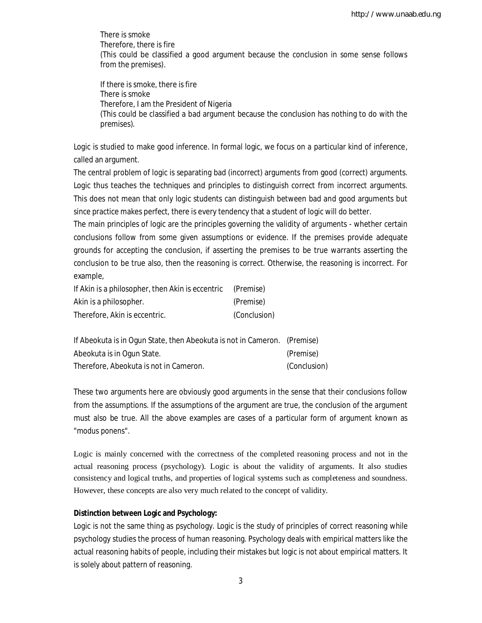There is smoke Therefore, there is fire (This could be classified a good argument because the conclusion in some sense follows from the premises).

If there is smoke, there is fire There is smoke Therefore, I am the President of Nigeria (This could be classified a bad argument because the conclusion has nothing to do with the premises).

Logic is studied to make good inference. In formal logic, we focus on a particular kind of inference, called an argument.

The central problem of logic is separating bad (incorrect) arguments from good (correct) arguments. Logic thus teaches the techniques and principles to distinguish correct from incorrect arguments. This does not mean that only logic students can distinguish between bad and good arguments but since practice makes perfect, there is every tendency that a student of logic will do better.

The main principles of logic are the *principles governing the validity of arguments* - whether certain conclusions follow from some given assumptions or evidence. If the premises provide adequate grounds for accepting the conclusion, if asserting the premises to be true warrants asserting the conclusion to be true also, then the reasoning is correct. Otherwise, the reasoning is incorrect. For example,

| If Akin is a philosopher, then Akin is eccentric | (Premise)    |
|--------------------------------------------------|--------------|
| Akin is a philosopher.                           | (Premise)    |
| Therefore, Akin is eccentric.                    | (Conclusion) |

| If Abeokuta is in Ogun State, then Abeokuta is not in Cameron. (Premise) |              |
|--------------------------------------------------------------------------|--------------|
| Abeokuta is in Ogun State.                                               | (Premise)    |
| Therefore, Abeokuta is not in Cameron.                                   | (Conclusion) |

These two arguments here are obviously good arguments in the sense that their conclusions follow from the assumptions. If the assumptions of the argument are true, the conclusion of the argument must also be true. All the above examples are cases of a particular form of argument known as "*modus ponens*".

Logic is mainly concerned with the correctness of the completed reasoning process and not in the actual reasoning process (psychology). Logic is about the validity of arguments. It also studies consistency and logical truths, and properties of logical systems such as completeness and soundness. However, these concepts are also very much related to the concept of validity.

## **Distinction between Logic and Psychology:**

Logic is not the same thing as psychology. Logic is the study of principles of *correct* reasoning while psychology studies the process of human reasoning. Psychology deals with empirical matters like the actual reasoning habits of people, including their mistakes but logic is not about empirical matters. It is solely about pattern of reasoning.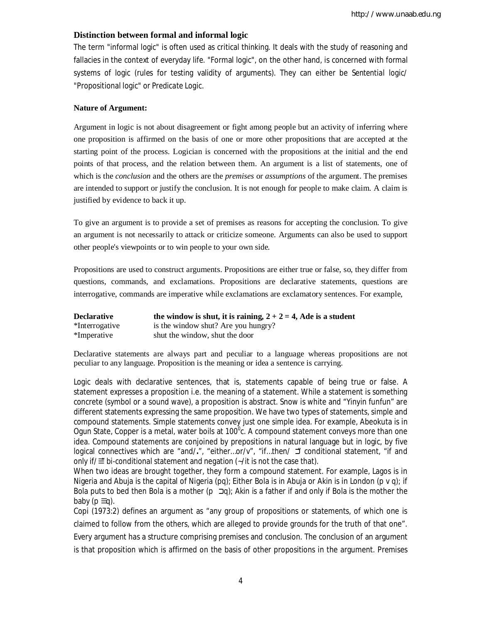#### **Distinction between formal and informal logic**

The term "informal logic" is often used as critical thinking. It deals with the study of reasoning and fallacies in the context of everyday life. "Formal logic", on the other hand, is concerned with formal systems of logic (rules for testing validity of arguments). They can either be *Sentential logic/* "Propositional logic" or *Predicate Logic*.

#### **Nature of Argument:**

Argument in logic is not about disagreement or fight among people but an activity of inferring where one proposition is affirmed on the basis of one or more other propositions that are accepted at the starting point of the process. Logician is concerned with the propositions at the initial and the end points of that process, and the relation between them. An argument is a list of statements, one of which is the *conclusion* and the others are the *premises* or *assumptions* of the argument. The premises are intended to support or justify the conclusion. It is not enough for people to make claim. A claim is justified by evidence to back it up.

To give an argument is to provide a set of premises as reasons for accepting the conclusion. To give an argument is not necessarily to attack or criticize someone. Arguments can also be used to support other people's viewpoints or to win people to your own side.

Propositions are used to construct arguments. Propositions are either true or false, so, they differ from questions, commands, and exclamations. Propositions are declarative statements, questions are interrogative, commands are imperative while exclamations are exclamatory sentences. For example,

| <b>Declarative</b> | the window is shut, it is raining, $2 + 2 = 4$ , Ade is a student |
|--------------------|-------------------------------------------------------------------|
| *Interrogative     | is the window shut? Are you hungry?                               |
| *Imperative        | shut the window, shut the door                                    |

Declarative statements are always part and peculiar to a language whereas propositions are not peculiar to any language. Proposition is the meaning or idea a sentence is carrying.

Logic deals with declarative sentences, that is, statements capable of being true or false. A statement expresses a proposition i.e. the meaning of a statement. While a statement is something concrete (symbol or a sound wave), a proposition is abstract. Snow is white and "Yinyin funfun" are different statements expressing the same proposition. We have two types of statements, simple and compound statements. Simple statements convey just one simple idea. For example, Abeokuta is in Ogun State, Copper is a metal, water boils at 100<sup>°</sup>c. A compound statement conveys more than one idea. Compound statements are conjoined by prepositions in natural language but in logic, by five logical connectives which are "and/**.**", "either…or/v", "if…then/ כ "conditional statement, "if and only if/ $\equiv$  bi-conditional statement and negation (~/it is not the case that).

When two ideas are brought together, they form a compound statement. For example, Lagos is in Nigeria and Abuja is the capital of Nigeria (pq); Either Bola is in Abuja or Akin is in London (p v q); if Bola puts to bed then Bola is a mother ( $p \exists q$ ); Akin is a father if and only if Bola is the mother the baby ( $p \equiv q$ ).

Copi (1973:2) defines an argument as "any group of propositions or statements, of which one is claimed to follow from the others, which are alleged to provide grounds for the truth of that one". Every argument has a structure comprising premises and conclusion. The conclusion of an argument is that proposition which is affirmed on the basis of other propositions in the argument. Premises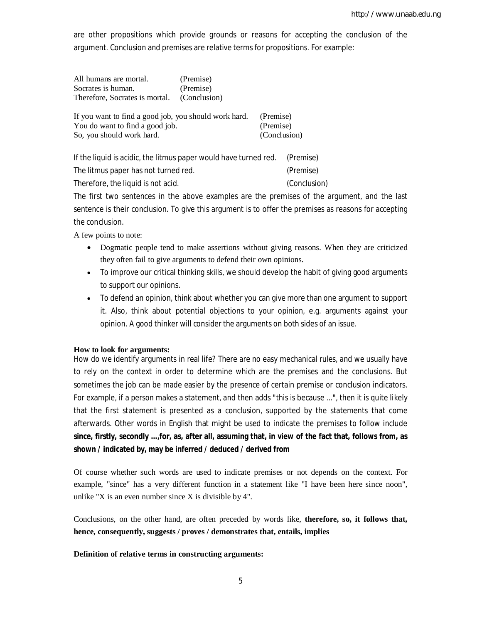are other propositions which provide grounds or reasons for accepting the conclusion of the argument. Conclusion and premises are relative terms for propositions. For example:

| All humans are mortal.                      | (Premise) |
|---------------------------------------------|-----------|
| Socrates is human.                          | (Premise) |
| Therefore, Socrates is mortal. (Conclusion) |           |

| If you want to find a good job, you should work hard. | (Premise)    |
|-------------------------------------------------------|--------------|
| You do want to find a good job.                       | (Premise)    |
| So, you should work hard.                             | (Conclusion) |

| If the liquid is acidic, the litmus paper would have turned red. | (Premise)    |
|------------------------------------------------------------------|--------------|
| The litmus paper has not turned red.                             | (Premise)    |
| Therefore, the liquid is not acid.                               | (Conclusion) |

The first two sentences in the above examples are the premises of the argument, and the last sentence is their conclusion. To give this argument is to offer the premises as reasons for accepting the conclusion.

A few points to note:

- Dogmatic people tend to make assertions without giving reasons. When they are criticized they often fail to give arguments to defend their own opinions.
- To improve our critical thinking skills, we should develop the habit of giving good arguments to support our opinions.
- To defend an opinion, think about whether you can give more than one argument to support it. Also, think about potential objections to your opinion, e.g. arguments against your opinion. A good thinker will consider the arguments on both sides of an issue.

## **How to look for arguments:**

How do we identify arguments in real life? There are no easy mechanical rules, and we usually have to rely on the context in order to determine which are the premises and the conclusions. But sometimes the job can be made easier by the presence of certain premise or conclusion indicators. For example, if a person makes a statement, and then adds "this is because ...", then it is quite likely that the first statement is presented as a conclusion, supported by the statements that come afterwards. Other words in English that might be used to indicate the premises to follow include **since, firstly, secondly ...,for, as, after all, assuming that, in view of the fact that, follows from, as shown / indicated by, may be inferred / deduced / derived from** 

Of course whether such words are used to indicate premises or not depends on the context. For example, "since" has a very different function in a statement like "I have been here since noon", unlike "X is an even number since X is divisible by  $4$ ".

Conclusions, on the other hand, are often preceded by words like, **therefore, so, it follows that, hence, consequently, suggests / proves / demonstrates that, entails, implies** 

#### **Definition of relative terms in constructing arguments:**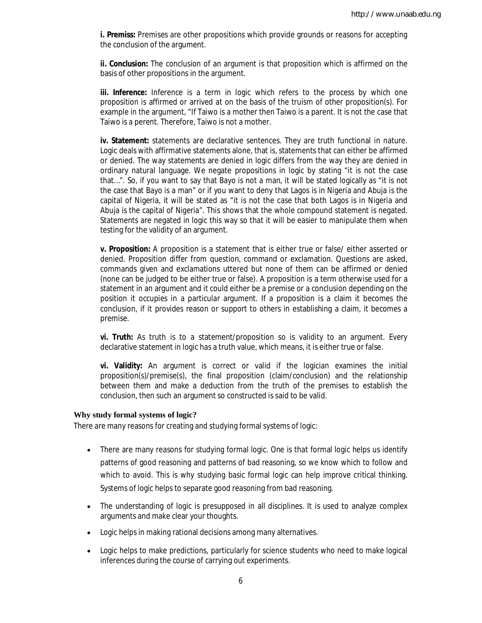**i. Premiss:** Premises are other propositions which provide grounds or reasons for accepting the conclusion of the argument.

**ii. Conclusion:** The conclusion of an argument is that proposition which is affirmed on the basis of other propositions in the argument.

**iii. Inference:** Inference is a term in logic which refers to the process by which one proposition is affirmed or arrived at on the basis of the truism of other proposition(s). For example in the argument, "If Taiwo is a mother then Taiwo is a parent. It is not the case that Taiwo is a perent. Therefore, Taiwo is not a mother.

**iv. Statement:** statements are declarative sentences. They are truth functional in nature. Logic deals with affirmative statements alone, that is, statements that can either be affirmed or denied. The way statements are denied in logic differs from the way they are denied in ordinary natural language. We negate propositions in logic by stating "it is not the case that…". So, if you want to say that Bayo is not a man, it will be stated logically as "it is not the case that Bayo is a man" or if you want to deny that Lagos is in Nigeria and Abuja is the capital of Nigeria, it will be stated as "it is not the case that both Lagos is in Nigeria and Abuja is the capital of Nigeria". This shows that the whole compound statement is negated. Statements are negated in logic this way so that it will be easier to manipulate them when testing for the validity of an argument.

**v. Proposition:** A proposition is a statement that is either true or false/ either asserted or denied. Proposition differ from question, command or exclamation. Questions are asked, commands given and exclamations uttered but none of them can be affirmed or denied (none can be judged to be either true or false). A proposition is a term otherwise used for a statement in an argument and it could either be a premise or a conclusion depending on the position it occupies in a particular argument. If a proposition is a claim it becomes the conclusion, if it provides reason or support to others in establishing a claim, it becomes a premise.

**vi. Truth:** As truth is to a statement/proposition so is validity to an argument. Every declarative statement in logic has a truth value, which means, it is either true or false.

**vi. Validity:** An argument is correct or valid if the logician examines the initial proposition(s)/premise(s), the final proposition (claim/conclusion) and the relationship between them and make a deduction from the truth of the premises to establish the conclusion, then such an argument so constructed is said to be valid.

#### **Why study formal systems of logic?**

There are many reasons for creating and studying formal systems of logic:

- There are many reasons for studying formal logic. One is that formal logic helps us identify patterns of good reasoning and patterns of bad reasoning, so we know which to follow and which to avoid. This is why studying basic formal logic can help improve critical thinking. Systems of logic helps to separate good reasoning from bad reasoning.
- The understanding of logic is presupposed in all disciplines. It is used to analyze complex arguments and make clear your thoughts.
- Logic helps in making rational decisions among many alternatives.
- Logic helps to make predictions, particularly for science students who need to make logical inferences during the course of carrying out experiments.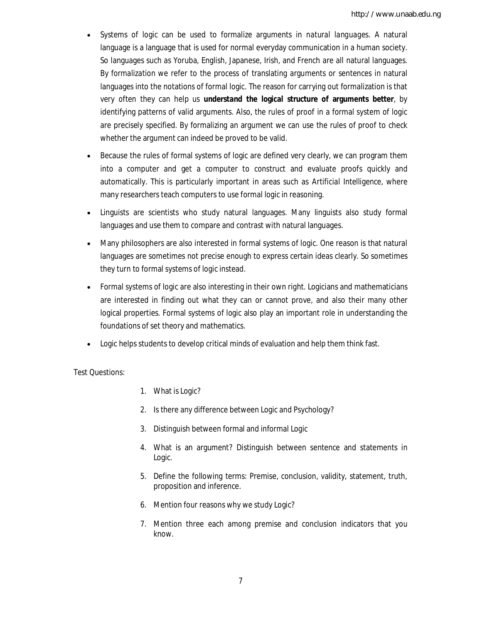- Systems of logic can be used to *formalize* arguments in *natural languages*. A natural language is a language that is used for normal everyday communication in a human society. So languages such as Yoruba, English, Japanese, Irish, and French are all natural languages. By *formalization* we refer to the process of translating arguments or sentences in natural languages into the notations of formal logic. The reason for carrying out formalization is that very often they can help us **understand the logical structure of arguments better**, by identifying patterns of valid arguments. Also, the rules of proof in a formal system of logic are precisely specified. By formalizing an argument we can use the rules of proof to check whether the argument can indeed be proved to be valid.
- Because the rules of formal systems of logic are defined very clearly, we can program them into a computer and get a computer to construct and evaluate proofs quickly and automatically. This is particularly important in areas such as *Artificial Intelligence*, where many researchers teach computers to use formal logic in reasoning.
- Linguists are scientists who study natural languages. Many linguists also study formal languages and use them to compare and contrast with natural languages.
- Many philosophers are also interested in formal systems of logic. One reason is that natural languages are sometimes not precise enough to express certain ideas clearly. So sometimes they turn to formal systems of logic instead.
- Formal systems of logic are also interesting in their own right. Logicians and mathematicians are interested in finding out what they can or cannot prove, and also their many other logical properties. Formal systems of logic also play an important role in understanding the foundations of set theory and mathematics.
- Logic helps students to develop critical minds of evaluation and help them think fast.

Test Questions:

- 1. What is Logic?
- 2. Is there any difference between Logic and Psychology?
- 3. Distinguish between formal and informal Logic
- 4. What is an argument? Distinguish between sentence and statements in Logic.
- 5. Define the following terms: Premise, conclusion, validity, statement, truth, proposition and inference.
- 6. Mention four reasons why we study Logic?
- 7. Mention three each among premise and conclusion indicators that you know.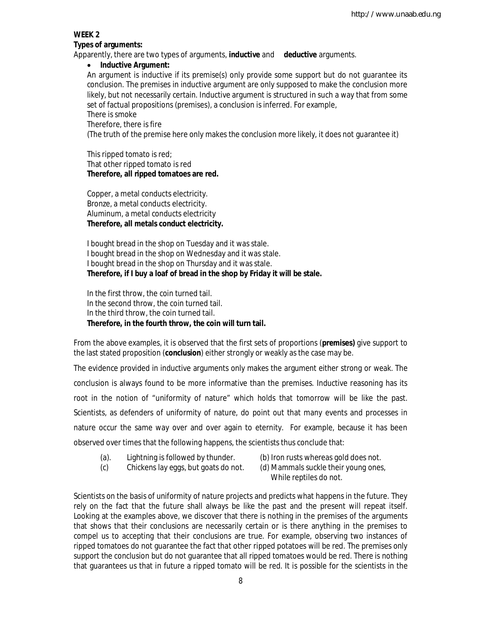## **WEEK 2**

## **Types of arguments:**

Apparently, there are two types of arguments, **inductive** and **deductive** arguments.

## **Inductive Argument:**

An argument is inductive if its premise(s) only provide some support but do not guarantee its conclusion. The premises in inductive argument are only supposed to make the conclusion more likely, but not necessarily certain. Inductive argument is structured in such a way that from some set of factual propositions (premises), a conclusion is inferred. For example,

## There is smoke

## Therefore, there is fire

(The truth of the premise here only makes the conclusion more likely, it does not guarantee it)

## This ripped tomato is red; That other ripped tomato is red **Therefore, all ripped tomatoes are red.**

Copper, a metal conducts electricity. Bronze, a metal conducts electricity. Aluminum, a metal conducts electricity **Therefore, all metals conduct electricity.**

I bought bread in the shop on Tuesday and it was stale. I bought bread in the shop on Wednesday and it was stale. I bought bread in the shop on Thursday and it was stale. **Therefore, if I buy a loaf of bread in the shop by Friday it will be stale.**

In the first throw, the coin turned tail. In the second throw, the coin turned tail. In the third throw, the coin turned tail. **Therefore, in the fourth throw, the coin will turn tail.**

From the above examples, it is observed that the first sets of proportions (**premises)** give support to the last stated proposition (**conclusion**) either strongly or weakly as the case may be.

The evidence provided in inductive arguments only makes the argument either strong or weak. The conclusion is always found to be more informative than the premises. Inductive reasoning has its root in the notion of "uniformity of nature" which holds that tomorrow will be like the past. Scientists, as defenders of uniformity of nature, do point out that many events and processes in nature occur the same way over and over again to eternity. For example, because it has been observed over times that the following happens, the scientists thus conclude that:

- (a). Lightning is followed by thunder. (b) Iron rusts whereas gold does not.
- 
- (c) Chickens lay eggs, but goats do not. (d) Mammals suckle their young ones,
- While reptiles do not.

Scientists on the basis of uniformity of nature projects and predicts what happens in the future. They rely on the fact that the future shall always be like the past and the present will repeat itself. Looking at the examples above, we discover that there is nothing in the premises of the arguments that shows that their conclusions are necessarily certain or is there anything in the premises to compel us to accepting that their conclusions are true. For example, observing two instances of ripped tomatoes do not guarantee the fact that other ripped potatoes will be red. The premises only support the conclusion but do not guarantee that all ripped tomatoes would be red. There is nothing that guarantees us that in future a ripped tomato will be red. It is possible for the scientists in the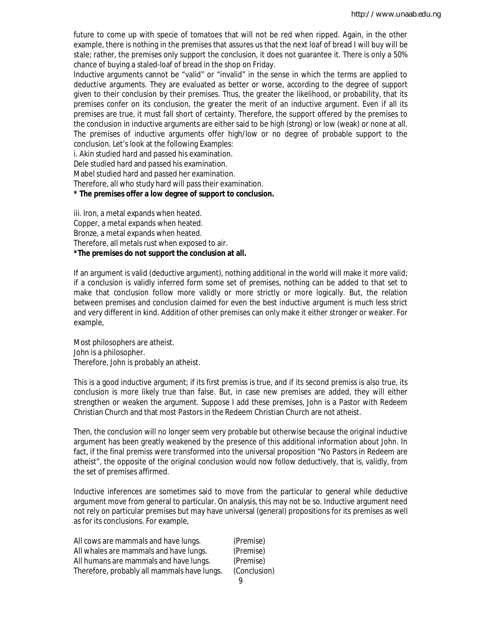future to come up with specie of tomatoes that will not be red when ripped. Again, in the other example, there is nothing in the premises that assures us that the next loaf of bread I will buy will be stale; rather, the premises only support the conclusion, it does not guarantee it. There is only a 50% chance of buying a staled-loaf of bread in the shop on Friday.

Inductive arguments cannot be "valid" or "invalid" in the sense in which the terms are applied to deductive arguments. They are evaluated as better or worse, according to the degree of support given to their conclusion by their premises. Thus, the greater the likelihood, or probability, that its premises confer on its conclusion, the greater the merit of an inductive argument. Even if all its premises are true, it must fall short of certainty. Therefore, the support offered by the premises to the conclusion in inductive arguments are either said to be high (strong) or low (weak) or none at all. The premises of inductive arguments offer high/low or no degree of probable support to the conclusion. Let's look at the following Examples:

i. Akin studied hard and passed his examination.

Dele studied hard and passed his examination.

Mabel studied hard and passed her examination.

Therefore, all who study hard will pass their examination.

#### **\* The premises offer a low degree of support to conclusion.**

iii. Iron, a metal expands when heated. Copper, a metal expands when heated. Bronze, a metal expands when heated. Therefore, all metals rust when exposed to air. **\*The premises do not support the conclusion at all.**

If an argument is valid (deductive argument), nothing additional in the world will make it more valid; if a conclusion is validly inferred form some set of premises, nothing can be added to that set to make that conclusion follow more validly or more strictly or more logically. But, the relation between premises and conclusion claimed for even the best inductive argument is much less strict and very different in kind. Addition of other premises can only make it either stronger or weaker. For example,

Most philosophers are atheist. John is a philosopher. Therefore, John is probably an atheist.

This is a good inductive argument; if its first premiss is true, and if its second premiss is also true, its conclusion is more likely true than false. But, in case new premises are added, they will either strengthen or weaken the argument. Suppose I add these premises, John is a Pastor with Redeem Christian Church and that most Pastors in the Redeem Christian Church are not atheist.

Then, the conclusion will no longer seem very probable but otherwise because the original inductive argument has been greatly weakened by the presence of this additional information about John. In fact, if the final premiss were transformed into the universal proposition "No Pastors in Redeem are atheist", the opposite of the original conclusion would now follow deductively, that is, validly, from the set of premises affirmed.

Inductive inferences are sometimes said to move from the particular to general while deductive argument move from general to particular. On analysis, this may not be so. Inductive argument need not rely on particular premises but may have universal (general) propositions for its premises as well as for its conclusions. For example,

| (Premise)    |
|--------------|
| (Premise)    |
| (Premise)    |
| (Conclusion) |
|              |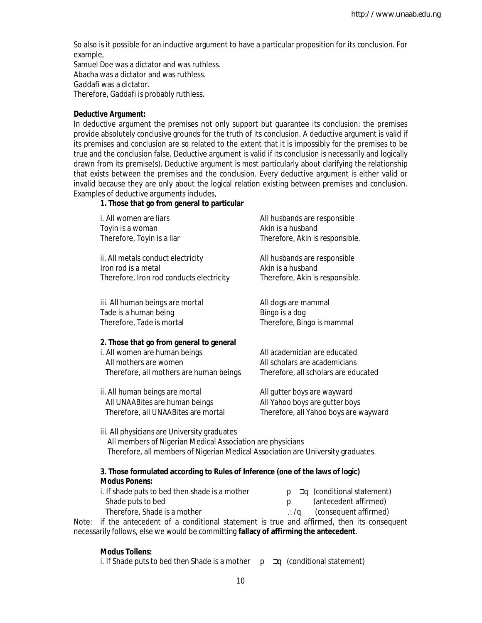So also is it possible for an inductive argument to have a particular proposition for its conclusion. For example,

Samuel Doe was a dictator and was ruthless. Abacha was a dictator and was ruthless. Gaddafi was a dictator. Therefore, Gaddafi is probably ruthless.

#### **Deductive Argument:**

In deductive argument the premises not only support but guarantee its conclusion: the premises provide absolutely conclusive grounds for the truth of its conclusion. A deductive argument is valid if its premises and conclusion are so related to the extent that it is impossibly for the premises to be true and the conclusion false. Deductive argument is valid if its conclusion is necessarily and logically drawn from its premise(s). Deductive argument is most particularly about clarifying the relationship that exists between the premises and the conclusion. Every deductive argument is either valid or invalid because they are only about the logical relation existing between premises and conclusion. Examples of deductive arguments includes,

## **1. Those that go from general to particular**

| i. All women are liars<br>Toyin is a woman<br>Therefore, Toyin is a liar                                                                      | All husbands are responsible<br>Akin is a husband<br>Therefore, Akin is responsible.                   |
|-----------------------------------------------------------------------------------------------------------------------------------------------|--------------------------------------------------------------------------------------------------------|
| ii. All metals conduct electricity<br>Iron rod is a metal<br>Therefore, Iron rod conducts electricity                                         | All husbands are responsible<br>Akin is a husband<br>Therefore, Akin is responsible.                   |
| iii. All human beings are mortal<br>Tade is a human being<br>Therefore, Tade is mortal                                                        | All dogs are mammal<br>Bingo is a dog<br>Therefore, Bingo is mammal                                    |
| 2. Those that go from general to general<br>i. All women are human beings<br>All mothers are women<br>Therefore, all mothers are human beings | All academician are educated<br>All scholars are academicians<br>Therefore, all scholars are educated  |
| ii. All human beings are mortal<br>All UNAABites are human beings<br>Therefore, all UNAABites are mortal                                      | All gutter boys are wayward<br>All Yahoo boys are gutter boys<br>Therefore, all Yahoo boys are wayward |
|                                                                                                                                               |                                                                                                        |

iii. All physicians are University graduates All members of Nigerian Medical Association are physicians Therefore, all members of Nigerian Medical Association are University graduates.

## **3. Those formulated according to Rules of Inference (one of the laws of logic) Modus Ponens:**

| i. If shade puts to bed then shade is a mother                                    | $p \rightarrow q$ (conditional statement) |
|-----------------------------------------------------------------------------------|-------------------------------------------|
| Shade puts to bed                                                                 | (antecedent affirmed)                     |
| Therefore, Shade is a mother                                                      | $\therefore$ /q (consequent affirmed)     |
| if the approached a conditional statement is true and affirmed than its sensecure |                                           |

Note: if the antecedent of a conditional statement is true and affirmed, then its consequent necessarily follows, else we would be committing **fallacy of affirming the antecedent**.

#### **Modus Tollens:**

i. If Shade puts to bed then Shade is a mother  $p \rightarrow q$  (conditional statement)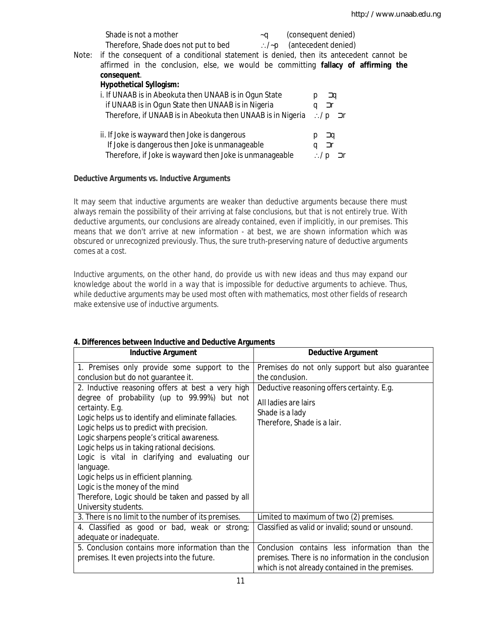|       | Shade is not a mother                                                                 | ~a               |   | (consequent denied) |  |
|-------|---------------------------------------------------------------------------------------|------------------|---|---------------------|--|
|       | Therefore, Shade does not put to bed                                                  | $\therefore$ /~p |   | (antecedent denied) |  |
| Note: | if the consequent of a conditional statement is denied, then its antecedent cannot be |                  |   |                     |  |
|       | affirmed in the conclusion, else, we would be committing fallacy of affirming the     |                  |   |                     |  |
|       | consequent.                                                                           |                  |   |                     |  |
|       | <b>Hypothetical Syllogism:</b>                                                        |                  |   |                     |  |
|       | i. If UNAAB is in Abeokuta then UNAAB is in Ogun State                                |                  |   | Эq                  |  |
|       | if UNAAB is in Ogun State then UNAAB is in Nigeria                                    |                  | a | ⊐r                  |  |
|       | Therefore, if UNAAB is in Abeokuta then UNAAB is in Nigeria                           |                  |   | ∴/p ⊐r              |  |
|       | ii. If Joke is wayward then Joke is dangerous                                         |                  |   | <b>J</b> q          |  |
|       | If Joke is dangerous then Joke is unmanageable                                        |                  | q | ⊐r                  |  |
|       | Therefore, if Joke is wayward then Joke is unmanageable                               |                  |   | ⊃r<br>D             |  |
|       |                                                                                       |                  |   |                     |  |

## **Deductive Arguments vs. Inductive Arguments**

It may seem that inductive arguments are weaker than deductive arguments because there must always remain the possibility of their arriving at false conclusions, but that is not entirely true. With deductive arguments, our conclusions are already contained, even if implicitly, in our premises. This means that we don't arrive at new information - at best, we are shown information which was obscured or unrecognized previously. Thus, the sure truth-preserving nature of deductive arguments comes at a cost.

Inductive arguments, on the other hand, do provide us with new ideas and thus may expand our knowledge about the world in a way that is impossible for deductive arguments to achieve. Thus, while deductive arguments may be used most often with mathematics, most other fields of research make extensive use of inductive arguments.

| <b>Inductive Argument</b>                                                                       | <b>Deductive Argument</b>                           |
|-------------------------------------------------------------------------------------------------|-----------------------------------------------------|
| 1. Premises only provide some support to the                                                    | Premises do not only support but also guarantee     |
| conclusion but do not guarantee it.                                                             | the conclusion.                                     |
| 2. Inductive reasoning offers at best a very high                                               | Deductive reasoning offers certainty. E.g.          |
| degree of probability (up to 99.99%) but not                                                    | All ladies are lairs                                |
| certainty. E.g.                                                                                 | Shade is a lady                                     |
| Logic helps us to identify and eliminate fallacies.                                             | Therefore, Shade is a lair.                         |
| Logic helps us to predict with precision.                                                       |                                                     |
| Logic sharpens people's critical awareness.                                                     |                                                     |
| Logic helps us in taking rational decisions.<br>Logic is vital in clarifying and evaluating our |                                                     |
| language.                                                                                       |                                                     |
| Logic helps us in efficient planning.                                                           |                                                     |
| Logic is the money of the mind                                                                  |                                                     |
| Therefore, Logic should be taken and passed by all                                              |                                                     |
| University students.                                                                            |                                                     |
| 3. There is no limit to the number of its premises.                                             | Limited to maximum of two (2) premises.             |
| 4. Classified as good or bad, weak or strong;                                                   | Classified as valid or invalid; sound or unsound.   |
| adequate or inadequate.                                                                         |                                                     |
| 5. Conclusion contains more information than the                                                | Conclusion contains less information than the       |
| premises. It even projects into the future.                                                     | premises. There is no information in the conclusion |
|                                                                                                 | which is not already contained in the premises.     |

## **4. Differences between Inductive and Deductive Arguments**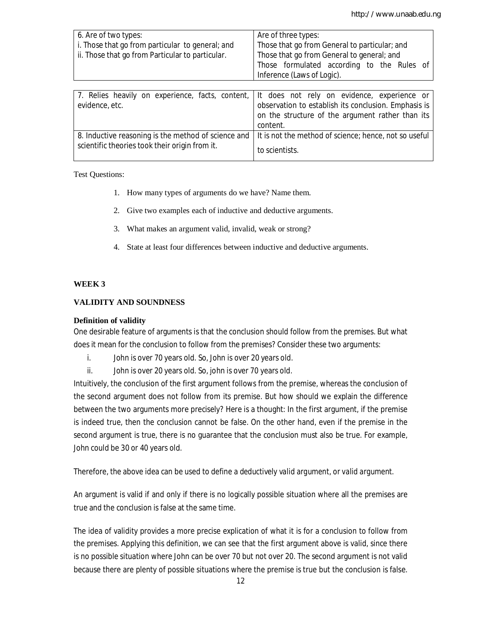| 6. Are of two types:<br>i. Those that go from particular to general; and<br>ii. Those that go from Particular to particular. | Are of three types:<br>Those that go from General to particular; and<br>Those that go from General to general; and<br>Those formulated according to the Rules of<br>Inference (Laws of Logic). |
|------------------------------------------------------------------------------------------------------------------------------|------------------------------------------------------------------------------------------------------------------------------------------------------------------------------------------------|
| 7. Relies heavily on experience, facts, content,<br>evidence, etc.                                                           | It does not rely on evidence, experience or<br>observation to establish its conclusion. Emphasis is<br>on the structure of the argument rather than its<br>content.                            |
| 8. Inductive reasoning is the method of science and<br>scientific theories took their origin from it.                        | It is not the method of science; hence, not so useful<br>to scientists.                                                                                                                        |

Test Questions:

- 1. How many types of arguments do we have? Name them.
- 2. Give two examples each of inductive and deductive arguments.
- 3. What makes an argument valid, invalid, weak or strong?
- 4. State at least four differences between inductive and deductive arguments.

### **WEEK 3**

### **VALIDITY AND SOUNDNESS**

#### **Definition of validity**

One desirable feature of arguments is that the conclusion should follow from the premises. But what does it mean for the conclusion to follow from the premises? Consider these two arguments:

- i. John is over 70 years old. So, John is over 20 years old.
- ii. John is over 20 years old. So, john is over 70 years old.

Intuitively, the conclusion of the first argument follows from the premise, whereas the conclusion of the second argument does not follow from its premise. But how should we explain the difference between the two arguments more precisely? Here is a thought: In the first argument, if the premise is indeed true, then the conclusion cannot be false. On the other hand, even if the premise in the second argument is true, there is no guarantee that the conclusion must also be true. For example, John could be 30 or 40 years old.

Therefore, the above idea can be used to define a *deductively valid argument*, or *valid argument*.

An argument is valid if and only if there is no logically possible situation where all the premises are true and the conclusion is false at the same time.

The idea of validity provides a more precise explication of what it is for a conclusion to follow from the premises. Applying this definition, we can see that the first argument above is valid, since there is no possible situation where John can be over 70 but not over 20. The second argument is not valid because there are plenty of possible situations where the premise is true but the conclusion is false.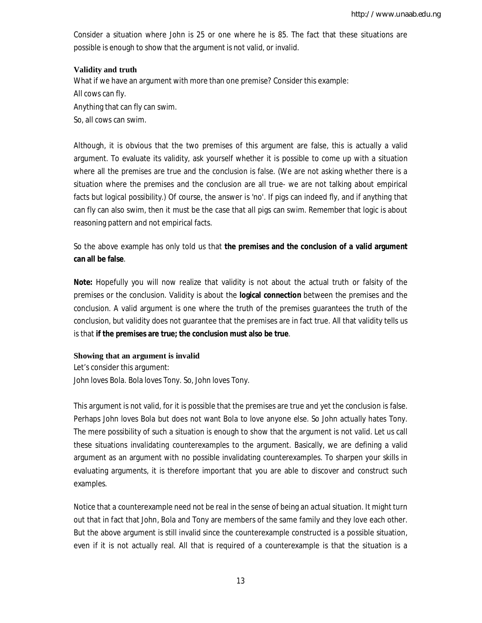Consider a situation where John is 25 or one where he is 85. The fact that these situations are possible is enough to show that the argument is not valid, or *invalid*.

## **Validity and truth**

What if we have an argument with more than one premise? Consider this example: All cows can fly. Anything that can fly can swim. So, all cows can swim.

Although, it is obvious that the two premises of this argument are false, this is actually a valid argument. To evaluate its validity, ask yourself whether it is possible to come up with a situation where all the premises are true and the conclusion is false. (We are not asking whether there is a situation where the premises and the conclusion are all true- we are not talking about empirical facts but logical possibility.) Of course, the answer is 'no'. If pigs can indeed fly, and if anything that can fly can also swim, then it must be the case that all pigs can swim. Remember that logic is about reasoning pattern and not empirical facts.

So the above example has only told us that **the premises and the conclusion of a valid argument can all be false**.

**Note:** Hopefully you will now realize that validity is not about the actual truth or falsity of the premises or the conclusion. Validity is about the **logical connection** between the premises and the conclusion. A valid argument is one where the truth of the premises guarantees the truth of the conclusion, but validity does not guarantee that the premises are in fact true. All that validity tells us is that **if the premises are true; the conclusion must also be true**.

## **Showing that an argument is invalid**

Let's consider this argument: John loves Bola. Bola loves Tony. So, John loves Tony.

This argument is not valid, for it is possible that the premises are true and yet the conclusion is false. Perhaps John loves Bola but does not want Bola to love anyone else. So John actually hates Tony. The mere possibility of such a situation is enough to show that the argument is not valid. Let us call these situations *invalidating counterexamples* to the argument. Basically, we are defining a valid argument as an argument with no possible invalidating counterexamples. To sharpen your skills in evaluating arguments, it is therefore important that you are able to discover and construct such examples.

Notice that a counterexample need not be real in the sense of being an actual situation. It might turn out that in fact that John, Bola and Tony are members of the same family and they love each other. But the above argument is still invalid since the counterexample constructed is a possible situation, even if it is not actually real. All that is required of a counterexample is that the situation is a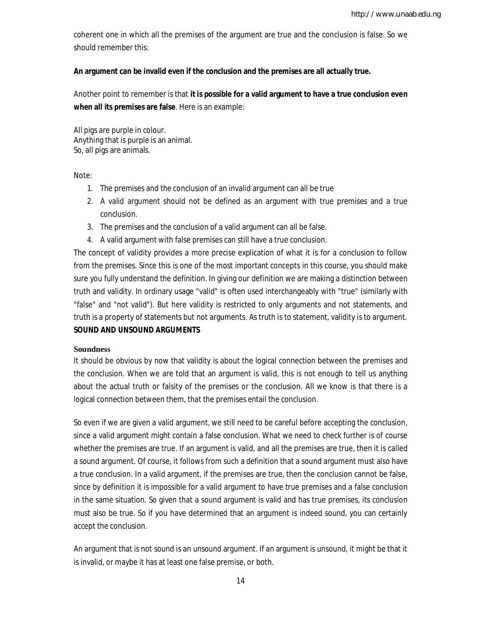coherent one in which all the premises of the argument are true and the conclusion is false. So we should remember this:

### **An argument can be invalid even if the conclusion and the premises are all actually true.**

Another point to remember is that **it is possible for a valid argument to have a true conclusion even when all its premises are false**. Here is an example:

All pigs are purple in colour. Anything that is purple is an animal. So, all pigs are animals.

Note:

- 1. The premises and the conclusion of an invalid argument can all be true
- 2. A valid argument should not be defined as an argument with true premises and a true conclusion.
- 3. The premises and the conclusion of a valid argument can all be false.
- 4. A valid argument with false premises can still have a true conclusion.

The concept of validity provides a more precise explication of what it is for a conclusion to follow from the premises. Since this is one of the most important concepts in this course, you should make sure you fully understand the definition. In giving our definition we are making a distinction between truth and validity. In ordinary usage "valid" is often used interchangeably with "true" (similarly with "false" and "not valid"). But here validity is restricted to only arguments and not statements, and truth is a property of statements but not arguments. As truth is to statement, validity is to argument. **SOUND AND UNSOUND ARGUMENTS**

#### **Soundness**

It should be obvious by now that validity is about the logical connection between the premises and the conclusion. When we are told that an argument is valid, this is not enough to tell us anything about the actual truth or falsity of the premises or the conclusion. All we know is that there is a logical connection between them, that the premises entail the conclusion.

So even if we are given a valid argument, we still need to be careful before accepting the conclusion, since a valid argument might contain a false conclusion. What we need to check further is of course whether the premises are true. If an argument is valid, and all the premises are true, then it is called a *sound* argument. Of course, it follows from such a definition that a sound argument must also have a true conclusion. In a valid argument, if the premises are true, then the conclusion cannot be false, since by definition it is impossible for a valid argument to have true premises and a false conclusion in the same situation. So given that a sound argument is valid and has true premises, its conclusion must also be true. So if you have determined that an argument is indeed sound, you can certainly accept the conclusion.

An argument that is not sound is an *unsound* argument. If an argument is unsound, it might be that it is invalid, or maybe it has at least one false premise, or both.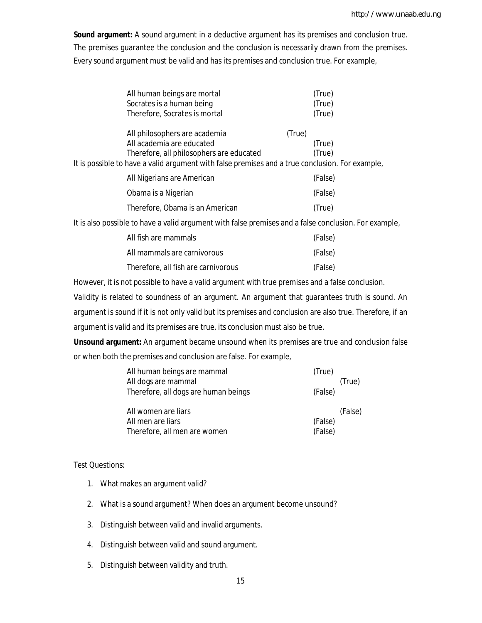**Sound argument:** A sound argument in a deductive argument has its premises and conclusion true. The premises guarantee the conclusion and the conclusion is necessarily drawn from the premises. Every sound argument must be valid and has its premises and conclusion true. For example,

| All human beings are mortal                                                                     |        | (True)  |
|-------------------------------------------------------------------------------------------------|--------|---------|
| Socrates is a human being                                                                       |        | (True)  |
| Therefore, Socrates is mortal                                                                   |        | (True)  |
| All philosophers are academia                                                                   | (True) |         |
| All academia are educated                                                                       |        | (True)  |
| Therefore, all philosophers are educated                                                        |        | (True)  |
| It is possible to have a valid argument with false premises and a true conclusion. For example, |        |         |
| All Nigerians are American                                                                      |        | (False) |
| Obama is a Nigerian                                                                             |        | (False) |

|                                 | $\mathbf{v}$ and $\mathbf{v}$ |
|---------------------------------|-------------------------------|
| Therefore, Obama is an American | (True)                        |

It is also possible to have a valid argument with false premises and a false conclusion. For example,

| All fish are mammals                | (False) |
|-------------------------------------|---------|
| All mammals are carnivorous         | (False) |
| Therefore, all fish are carnivorous | (False) |

However, it is not possible to have a valid argument with true premises and a false conclusion.

Validity is related to soundness of an argument. An argument that guarantees truth is sound. An argument is sound if it is not only valid but its premises and conclusion are also true. Therefore, if an argument is valid and its premises are true, its conclusion must also be true.

**Unsound argument:** An argument became unsound when its premises are true and conclusion false or when both the premises and conclusion are false. For example,

| All human beings are mammal          | (True)  |         |
|--------------------------------------|---------|---------|
| All dogs are mammal                  |         | (True)  |
| Therefore, all dogs are human beings | (False) |         |
|                                      |         |         |
|                                      |         |         |
| All women are liars                  |         | (False) |
| All men are liars                    | (False) |         |

## Test Questions:

- 1. What makes an argument valid?
- 2. What is a sound argument? When does an argument become unsound?
- 3. Distinguish between valid and invalid arguments.
- 4. Distinguish between valid and sound argument.
- 5. Distinguish between validity and truth.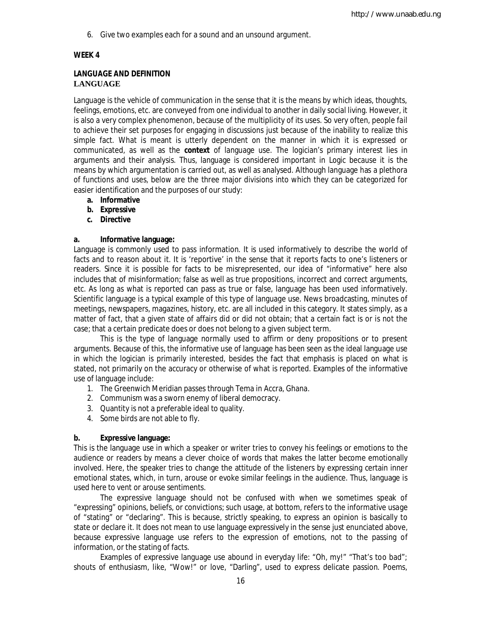6. Give two examples each for a sound and an unsound argument.

## **WEEK 4**

## **LANGUAGE AND DEFINITION LANGUAGE**

Language is the vehicle of communication in the sense that it is the means by which ideas, thoughts, feelings, emotions, etc. are conveyed from one individual to another in daily social living. However, it is also a very complex phenomenon, because of the multiplicity of its uses. So very often, people fail to achieve their set purposes for engaging in discussions just because of the inability to realize this simple fact. What is meant is utterly dependent on the manner in which it is expressed or communicated, as well as the **context** of language use. The logician's primary interest lies in arguments and their analysis. Thus, language is considered important in Logic because it is the means by which argumentation is carried out, as well as analysed. Although language has a plethora of functions and uses, below are the three major divisions into which they can be categorized for easier identification and the purposes of our study:

- **a. Informative**
- **b. Expressive**
- **c. Directive**

## **a. Informative language:**

Language is commonly used to pass information. It is used informatively to describe the world of facts and to reason about it. It is 'reportive' in the sense that it reports facts to one's listeners or readers. Since it is possible for facts to be misrepresented, our idea of "informative" here also includes that of misinformation; false as well as true propositions, incorrect and correct arguments, etc. As long as what is reported can pass as true or false, language has been used informatively. Scientific language is a typical example of this type of language use. News broadcasting, minutes of meetings, newspapers, magazines, history, etc. are all included in this category. It states simply, as a matter of fact, that a given state of affairs did or did not obtain; that a certain fact is or is not the case; that a certain predicate does or does not belong to a given subject term.

This is the type of language normally used to affirm or deny propositions or to present arguments. Because of this, the informative use of language has been seen as the ideal language use in which the logician is primarily interested, besides the fact that emphasis is placed on what is stated, not primarily on the accuracy or otherwise of what is reported. Examples of the informative use of language include:

- 1. The Greenwich Meridian passes through Tema in Accra, Ghana.
- 2. Communism was a sworn enemy of liberal democracy.
- 3. Quantity is not a preferable ideal to quality.
- 4. Some birds are not able to fly.

## **b. Expressive language:**

This is the language use in which a speaker or writer tries to convey his feelings or emotions to the audience or readers by means a clever choice of words that makes the latter become emotionally involved. Here, the speaker tries to change the attitude of the listeners by expressing certain inner emotional states, which, in turn, arouse or evoke similar feelings in the audience. Thus, language is used here to vent or arouse sentiments.

The expressive language should not be confused with when we sometimes speak of "expressing" opinions, beliefs, or convictions; such usage, at bottom, refers to the informative usage of "stating" or "declaring". This is because, strictly speaking, to express an opinion is basically to state or declare it. It does not mean to use language expressively in the sense just enunciated above, because expressive language use refers to the expression of emotions, not to the passing of information, or the stating of facts.

Examples of expressive language use abound in everyday life: "Oh, my!" "That's too bad"; shouts of enthusiasm, like, "Wow!" or love, "Darling", used to express delicate passion. Poems,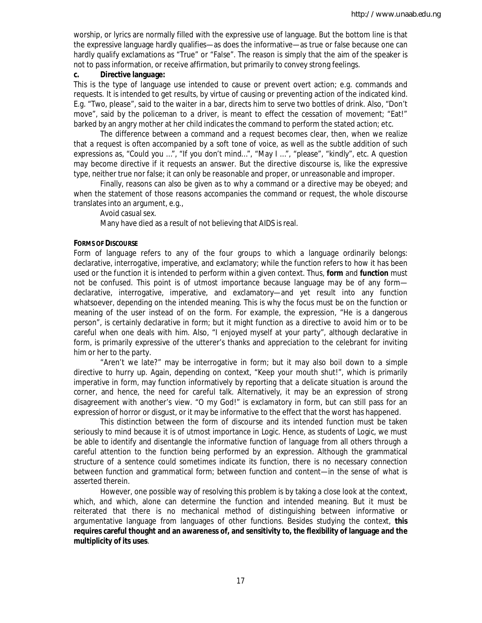worship, or lyrics are normally filled with the expressive use of language. But the bottom line is that the expressive language hardly qualifies—as does the informative—as true or false because one can hardly qualify exclamations as "True" or "False". The reason is simply that the aim of the speaker is not to pass information, or receive affirmation, but primarily to convey strong feelings.

#### **c. Directive language:**

This is the type of language use intended to cause or prevent overt action; e.g. commands and requests. It is intended to get results, by virtue of causing or preventing action of the indicated kind. E.g. "Two, please", said to the waiter in a bar, directs him to serve two bottles of drink. Also, "Don't move", said by the policeman to a driver, is meant to effect the cessation of movement; "Eat!" barked by an angry mother at her child indicates the command to perform the stated action; etc.

The difference between a command and a request becomes clear, then, when we realize that a request is often accompanied by a soft tone of voice, as well as the subtle addition of such expressions as, "Could you …", "If you don't mind…", "May I …", "please", "kindly", etc. A question may become directive if it requests an answer. But the directive discourse is, like the expressive type, neither true nor false; it can only be reasonable and proper, or unreasonable and improper.

Finally, reasons can also be given as to why a command or a directive may be obeyed; and when the statement of those reasons accompanies the command or request, the whole discourse translates into an argument, e.g.,

Avoid casual sex.

Many have died as a result of not believing that AIDS is real.

### **FORMS OF DISCOURSE**

*Form* of language refers to any of the four groups to which a language ordinarily belongs: declarative, interrogative, imperative, and exclamatory; while the *function* refers to how it has been used or the function it is intended to perform within a given context. Thus, **form** and **function** must not be confused. This point is of utmost importance because language may be of any form declarative, interrogative, imperative, and exclamatory—and yet result into any function whatsoever, depending on the intended meaning. This is why the focus must be on the function or meaning of the user instead of on the form. For example, the expression, "He is a dangerous person", is certainly declarative in form; but it might function as a directive to avoid him or to be careful when one deals with him. Also, "I enjoyed myself at your party", although declarative in form, is primarily expressive of the utterer's thanks and appreciation to the celebrant for inviting him or her to the party.

"Aren't we late?" may be interrogative in form; but it may also boil down to a simple directive to hurry up. Again, depending on context, "Keep your mouth shut!", which is primarily imperative in form, may function informatively by reporting that a delicate situation is around the corner, and hence, the need for careful talk. Alternatively, it may be an expression of strong disagreement with another's view. "O my God!" is exclamatory in form, but can still pass for an expression of horror or disgust, or it may be informative to the effect that the worst has happened.

This distinction between the form of discourse and its intended function must be taken seriously to mind because it is of utmost importance in Logic. Hence, as students of Logic, we must be able to identify and disentangle the informative function of language from all others through a careful attention to the function being performed by an expression. Although the grammatical structure of a sentence could sometimes indicate its function, there is no necessary connection between function and grammatical form; between function and content—in the sense of what is asserted therein.

However, one possible way of resolving this problem is by taking a close look at the context, which, and which, alone can determine the function and intended meaning. But it must be reiterated that there is no mechanical method of distinguishing between informative or argumentative language from languages of other functions. Besides studying the context, **this requires careful thought and an awareness of, and sensitivity to, the flexibility of language and the multiplicity of its uses**.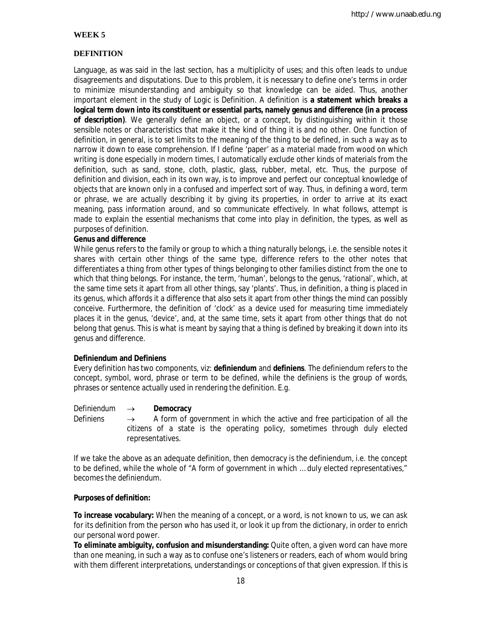## **WEEK 5**

## **DEFINITION**

Language, as was said in the last section, has a multiplicity of uses; and this often leads to undue disagreements and disputations. Due to this problem, it is necessary to define one's terms in order to minimize misunderstanding and ambiguity so that knowledge can be aided. Thus, another important element in the study of Logic is Definition. A definition is **a statement which breaks a logical term down into its constituent or essential parts, namely genus and difference (in a process of description)**. We generally define an object, or a concept, by distinguishing within it those sensible notes or characteristics that make it the kind of thing it is and no other. One function of definition, in general, is to set limits to the meaning of the thing to be defined, in such a way as to narrow it down to ease comprehension. If I define 'paper' as *a material made from wood on which writing is done especially in modern times*, I automatically exclude other kinds of materials from the definition, such as sand, stone, cloth, plastic, glass, rubber, metal, etc. Thus, the purpose of definition and division, each in its own way, is to improve and perfect our conceptual knowledge of objects that are known only in a confused and imperfect sort of way. Thus, in defining a word, term or phrase, we are actually describing it by giving its properties, in order to arrive at its exact meaning, pass information around, and so communicate effectively. In what follows, attempt is made to explain the essential mechanisms that come into play in definition, the types, as well as purposes of definition.

#### **Genus and difference**

While *genus* refers to the family or group to which a thing naturally belongs, i.e. the sensible notes it shares with certain other things of the same type, *difference* refers to the other notes that differentiates a thing from other types of things belonging to other families distinct from the one to which that thing belongs. For instance, the term, 'human', belongs to the genus, 'rational', which, at the same time sets it apart from all other things, say 'plants'. Thus, in definition, a thing is placed in its genus, which affords it a difference that also sets it apart from other things the mind can possibly conceive. Furthermore, the definition of 'clock' as *a device used for measuring time* immediately places it in the genus, 'device', and, at the same time, sets it apart from other things that do not belong that genus. This is what is meant by saying that a thing is defined by breaking it down into its genus and difference.

#### **Definiendum and Definiens**

Every definition has two components, viz: **definiendum** and **definiens**. The definiendum refers to the concept, symbol, word, phrase or term to be defined, while the definiens is the group of words, phrases or sentence actually used in rendering the definition. E.g.

#### *Definiendum* → **Democracy**

*Definiens*  $\rightarrow$  A form of government in which the active and free participation of all the citizens of a state is the operating policy, sometimes through duly elected representatives.

If we take the above as an adequate definition, then *democracy* is the definiendum, i.e. the concept to be defined, while the whole of "A form of government in which … duly elected representatives," becomes the *definiendum.*

#### **Purposes of definition:**

**To increase vocabulary:** When the meaning of a concept, or a word, is not known to us, we can ask for its definition from the person who has used it, or look it up from the dictionary, in order to enrich our personal word power.

**To eliminate ambiguity, confusion and misunderstanding:** Quite often, a given word can have more than one meaning, in such a way as to confuse one's listeners or readers, each of whom would bring with them different interpretations, understandings or conceptions of that given expression. If this is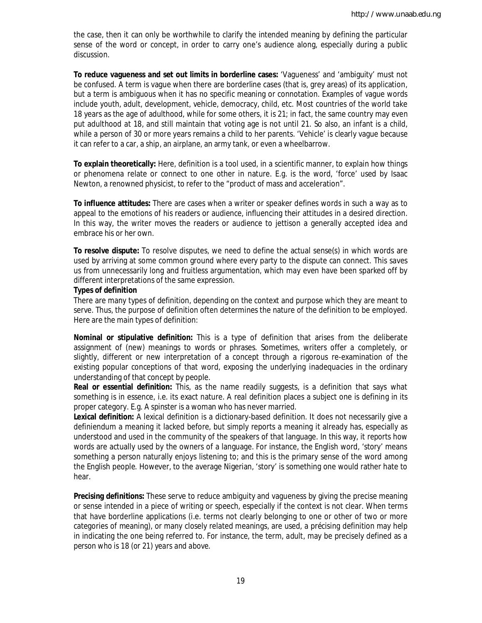the case, then it can only be worthwhile to clarify the intended meaning by defining the particular sense of the word or concept, in order to carry one's audience along, especially during a public discussion.

**To reduce vagueness and set out limits in borderline cases:** 'Vagueness' and 'ambiguity' must not be confused. A term is vague when there are borderline cases (that is, grey areas) of its application, but a term is ambiguous when it has no specific meaning or connotation. Examples of vague words include youth, adult, development, vehicle, democracy, child, etc. Most countries of the world take 18 years as the age of adulthood, while for some others, it is 21; in fact, the same country may even put adulthood at 18, and still maintain that voting age is not until 21. So also, an infant is a child, while a person of 30 or more years remains a child to her parents. 'Vehicle' is clearly vague because it can refer to a car, a ship, an airplane, an army tank, or even a wheelbarrow.

**To explain theoretically:** Here, definition is a tool used, in a scientific manner, to explain how things or phenomena relate or connect to one other in nature. E.g. is the word, 'force' used by Isaac Newton, a renowned physicist, to refer to the "product of mass and acceleration".

**To influence attitudes:** There are cases when a writer or speaker defines words in such a way as to appeal to the emotions of his readers or audience, influencing their attitudes in a desired direction. In this way, the writer moves the readers or audience to jettison a generally accepted idea and embrace his or her own.

**To resolve dispute:** To resolve disputes, we need to define the actual sense(s) in which words are used by arriving at some common ground where every party to the dispute can connect. This saves us from unnecessarily long and fruitless argumentation, which may even have been sparked off by different interpretations of the same expression.

#### **Types of definition**

There are many types of definition, depending on the context and purpose which they are meant to serve. Thus, the purpose of definition often determines the nature of the definition to be employed. Here are the main types of definition:

**Nominal or stipulative definition:** This is a type of definition that arises from the deliberate assignment of (new) meanings to words or phrases. Sometimes, writers offer a completely, or slightly, different or new interpretation of a concept through a rigorous re-examination of the existing popular conceptions of that word, exposing the underlying inadequacies in the ordinary understanding of that concept by people.

**Real or essential definition:** This, as the name readily suggests, is a definition that says what something is in essence, i.e. its exact nature. A real definition places a subject one is defining in its proper category. E.g. A *spinster* is a woman who has never married.

**Lexical definition:** A lexical definition is a dictionary-based definition. It does not necessarily give a definiendum a meaning it lacked before, but simply reports a meaning it already has, especially as understood and used in the community of the speakers of that language. In this way, it *reports* how words are actually used by the owners of a language. For instance, the English word, 'story' means something a person naturally enjoys listening to; and this is the primary sense of the word among the English people. However, to the average Nigerian, 'story' is something one would rather hate to hear.

**Precising definitions:** These serve to reduce ambiguity and vagueness by giving the precise meaning or sense intended in a piece of writing or speech, especially if the context is not clear. When terms that have borderline applications (i.e. terms not clearly belonging to one or other of two or more categories of meaning), or many closely related meanings, are used, a précising definition may help in indicating the one being referred to. For instance, the term, *adult*, may be precisely defined as *a person who is 18 (or 21) years and above*.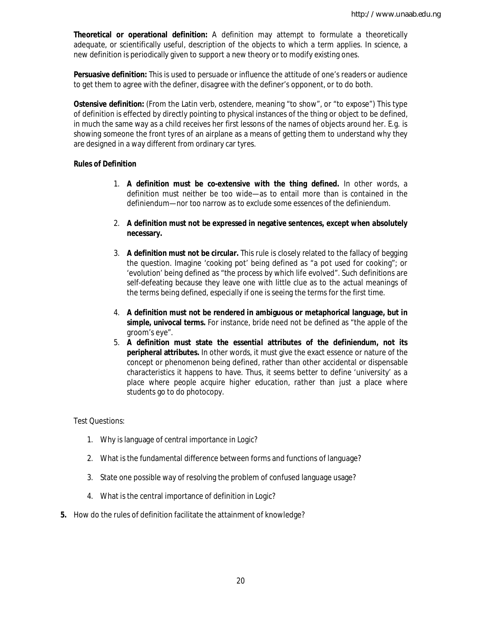**Theoretical or operational definition:** A definition may attempt to formulate a theoretically adequate, or scientifically useful, description of the objects to which a term applies. In science, a new definition is periodically given to support a new theory or to modify existing ones.

**Persuasive definition:** This is used to persuade or influence the attitude of one's readers or audience to get them to agree with the definer, disagree with the definer's opponent, or to do both.

**Ostensive definition:** (From the Latin verb, *ostendere*, meaning "to show", or "to expose") This type of definition is effected by directly pointing to physical instances of the thing or object to be defined, in much the same way as a child receives her first lessons of the names of objects around her. E.g. is showing someone the front tyres of an airplane as a means of getting them to understand why they are designed in a way different from ordinary car tyres.

#### **Rules of Definition**

- 1. **A definition must be co-extensive with the thing defined.** In other words, a definition must neither be too wide—as to entail more than is contained in the definiendum—nor too narrow as to exclude some essences of the definiendum.
- 2. **A definition must not be expressed in negative sentences, except when absolutely necessary.**
- 3. **A definition must not be circular.** This rule is closely related to the fallacy of begging the question. Imagine 'cooking pot' being defined as "a pot used for cooking"; or 'evolution' being defined as "the process by which life evolved". Such definitions are self-defeating because they leave one with little clue as to the actual meanings of the terms being defined, especially if one is seeing the terms for the first time.
- 4. **A definition must not be rendered in ambiguous or metaphorical language, but in simple, univocal terms.** For instance, *bride* need not be defined as "the apple of the groom's eye".
- 5. **A definition must state the** *essential* **attributes of the definiendum, not its peripheral attributes.** In other words, it must give the exact essence or nature of the concept or phenomenon being defined, rather than other accidental or dispensable characteristics it happens to have. Thus, it seems better to define 'university' as *a place where people acquire higher education*, rather than just a place where students go to do photocopy.

#### Test Questions:

- 1. Why is language of central importance in Logic?
- 2. What is the fundamental difference between forms and functions of language?
- 3. State one possible way of resolving the problem of confused language usage?
- 4. What is the central importance of definition in Logic?
- **5.** How do the rules of definition facilitate the attainment of knowledge?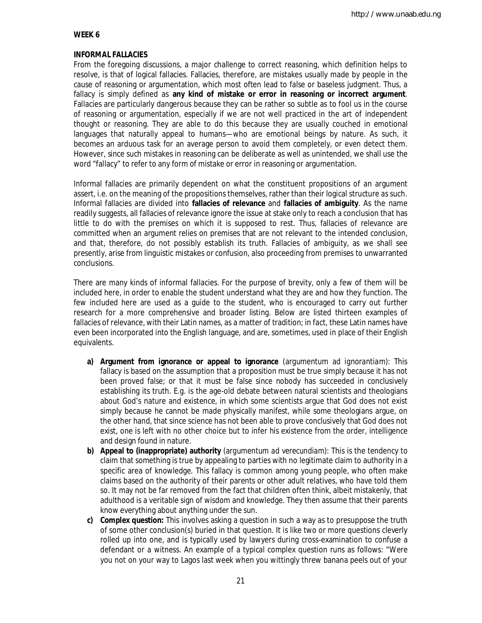## **WEEK 6**

#### **INFORMAL FALLACIES**

From the foregoing discussions, a major challenge to correct reasoning, which definition helps to resolve, is that of logical fallacies. Fallacies, therefore, are mistakes usually made by people in the cause of reasoning or argumentation, which most often lead to false or baseless judgment. Thus, a fallacy is simply defined as **any kind of mistake or error in reasoning or incorrect argument**. Fallacies are particularly dangerous because they can be rather so subtle as to fool us in the course of reasoning or argumentation, especially if we are not well practiced in the art of independent thought or reasoning. They are able to do this because they are usually couched in emotional languages that naturally appeal to humans—who are emotional beings by nature. As such, it becomes an arduous task for an average person to avoid them completely, or even detect them. However, since such mistakes in reasoning can be deliberate as well as unintended, we shall use the word "fallacy" to refer to any form of mistake or error in reasoning or argumentation.

Informal fallacies are primarily dependent on what the constituent propositions of an argument assert, i.e. on the meaning of the propositions themselves, rather than their logical structure as such. Informal fallacies are divided into **fallacies of relevance** and **fallacies of ambiguity**. As the name readily suggests, all fallacies of relevance ignore the issue at stake only to reach a conclusion that has little to do with the premises on which it is supposed to rest. Thus, fallacies of relevance are committed when an argument relies on premises that are not relevant to the intended conclusion, and that, therefore, do not possibly establish its truth. Fallacies of ambiguity, as we shall see presently, arise from linguistic mistakes or confusion, also proceeding from premises to unwarranted conclusions.

There are many kinds of informal fallacies. For the purpose of brevity, only a few of them will be included here, in order to enable the student understand what they are and how they function. The few included here are used as a guide to the student, who is encouraged to carry out further research for a more comprehensive and broader listing. Below are listed thirteen examples of fallacies of relevance, with their Latin names, as a matter of tradition; in fact, these Latin names have even been incorporated into the English language, and are, sometimes, used in place of their English equivalents.

- **a) Argument from ignorance or appeal to ignorance** (*argumentum ad ignorantiam*): This fallacy is based on the assumption that a proposition must be true simply because it has not been proved false; or that it must be false since nobody has succeeded in conclusively establishing its truth. E.g. is the age-old debate between natural scientists and theologians about God's nature and existence, in which some scientists argue that God does not exist simply because he cannot be made physically manifest, while some theologians argue, on the other hand, that since science has not been able to prove conclusively that God does not exist, one is left with no other choice but to infer his existence from the order, intelligence and design found in nature.
- **b) Appeal to (inappropriate) authority** (*argumentum ad verecundiam*): This is the tendency to claim that something is true by appealing to parties with no legitimate claim to authority in a specific area of knowledge. This fallacy is common among young people, who often make claims based on the authority of their parents or other adult relatives, who have told them so. It may not be far removed from the fact that children often think, albeit mistakenly, that adulthood is a veritable sign of wisdom and knowledge. They then assume that their parents know everything about anything under the sun.
- **c) Complex question:** This involves asking a question in such a way as to presuppose the truth of some other conclusion(s) buried in that question. It is like two or more questions cleverly rolled up into one, and is typically used by lawyers during cross-examination to confuse a defendant or a witness. An example of a typical complex question runs as follows: "Were you not on your way to Lagos last week when you wittingly threw banana peels out of your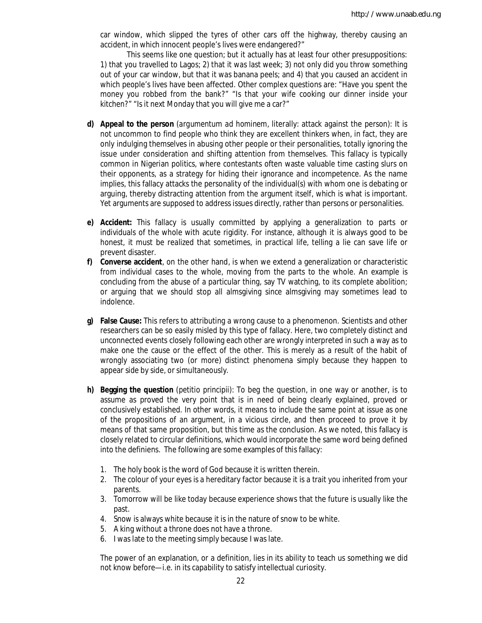car window, which slipped the tyres of other cars off the highway, thereby causing an accident, in which innocent people's lives were endangered?"

This seems like one question; but it actually has at least four other presuppositions: 1) that you travelled to Lagos; 2) that it was last week; 3) not only did you throw something out of your car window, but that it was banana peels; and 4) that you caused an accident in which people's lives have been affected. Other complex questions are: "Have you spent the money you robbed from the bank?" "Is that your wife cooking *our* dinner inside your kitchen?" "Is it next Monday that you will give me a car?"

- **d) Appeal to the person** (*argumentum ad hominem*, literally: attack against the person): It is not uncommon to find people who think they are excellent thinkers when, in fact, they are only indulging themselves in abusing other people or their personalities, totally ignoring the issue under consideration and shifting attention from themselves. This fallacy is typically common in Nigerian politics, where contestants often waste valuable time casting slurs on their opponents, as a strategy for hiding their ignorance and incompetence. As the name implies, this fallacy attacks the personality of the individual(s) with whom one is debating or arguing, thereby distracting attention from the argument itself, which is what is important. Yet arguments are supposed to address issues directly, rather than persons or personalities.
- **e) Accident:** This fallacy is usually committed by applying a generalization to parts or individuals of the whole with acute rigidity. For instance, although it is always good to be honest, it must be realized that sometimes, in practical life, telling a lie can save life or prevent disaster.
- **f) Converse accident**, on the other hand, is when we extend a generalization or characteristic from individual cases to the whole, moving from the parts to the whole. An example is concluding from the abuse of a particular thing, say TV watching, to its complete abolition; or arguing that we should stop all almsgiving since almsgiving may sometimes lead to indolence.
- **g) False Cause:** This refers to attributing a wrong cause to a phenomenon. Scientists and other researchers can be so easily misled by this type of fallacy. Here, two completely distinct and unconnected events closely following each other are wrongly interpreted in such a way as to make one the cause or the effect of the other. This is merely as a result of the habit of wrongly associating two (or more) distinct phenomena simply because they happen to appear side by side, or simultaneously.
- **h) Begging the question** (*petitio principii*): To beg the question, in one way or another, is to assume as proved the very point that is in need of being clearly explained, proved or conclusively established. In other words, it means to include the same point at issue as one of the propositions of an argument, in a vicious circle, and then proceed to prove it by means of that same proposition, but this time as the conclusion. As we noted, this fallacy is closely related to circular definitions, which would incorporate the same word being defined into the definiens. The following are some examples of this fallacy:
	- 1. The holy book is the word of God because it is written therein.
	- 2. The colour of your eyes is a hereditary factor because it is a trait you inherited from your parents.
	- 3. Tomorrow will be like today because experience shows that the future is usually like the past.
	- 4. Snow is always white because it is in the nature of snow to be white.
	- 5. A king without a throne does not have a throne.
	- 6. I was late to the meeting simply because I was late.

The power of an explanation, or a definition, lies in its ability to teach us something we did not know before—i.e. in its capability to satisfy intellectual curiosity.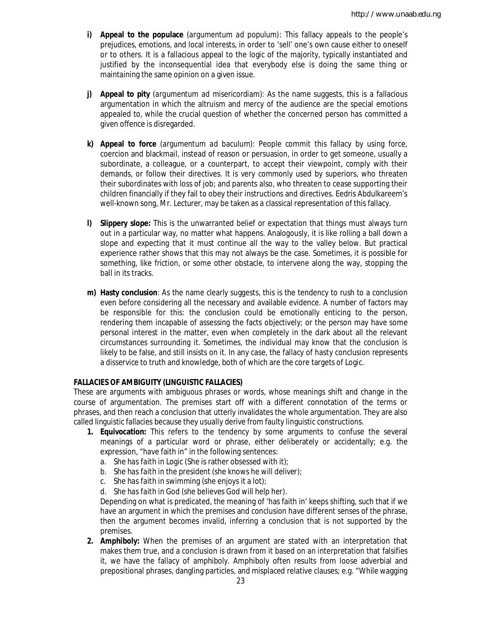- **i) Appeal to the populace** (*argumentum ad populum*): This fallacy appeals to the people's prejudices, emotions, and local interests, in order to 'sell' one's own cause either to oneself or to others. It is a fallacious appeal to the logic of the majority, typically instantiated and justified by the inconsequential idea that everybody else is doing the same thing or maintaining the same opinion on a given issue.
- **j) Appeal to pity** (*argumentum ad misericordiam*): As the name suggests, this is a fallacious argumentation in which the altruism and mercy of the audience are the special emotions appealed to, while the crucial question of whether the concerned person has committed a given offence is disregarded.
- **k) Appeal to force** (*argumentum ad baculum*): People commit this fallacy by using force, coercion and blackmail, instead of reason or persuasion, in order to get someone, usually a subordinate, a colleague, or a counterpart, to accept their viewpoint, comply with their demands, or follow their directives. It is very commonly used by superiors, who threaten their subordinates with loss of job; and parents also, who threaten to cease supporting their children financially if they fail to obey their instructions and directives. Eedris Abdulkareem's well-known song, *Mr. Lecturer*, may be taken as a classical representation of this fallacy.
- **l) Slippery slope:** This is the unwarranted belief or expectation that things must always turn out in a particular way, no matter what happens. Analogously, it is like rolling a ball down a slope and expecting that it must continue all the way to the valley below. But practical experience rather shows that this may not always be the case. Sometimes, it is possible for something, like friction, or some other obstacle, to intervene along the way, stopping the ball in its tracks.
- **m) Hasty conclusion**: As the name clearly suggests, this is the tendency to rush to a conclusion even before considering all the necessary and available evidence. A number of factors may be responsible for this: the conclusion could be emotionally enticing to the person, rendering them incapable of assessing the facts objectively; or the person may have some personal interest in the matter, even when completely in the dark about all the relevant circumstances surrounding it. Sometimes, the individual may know that the conclusion is likely to be false, and still insists on it. In any case, the fallacy of hasty conclusion represents a disservice to truth and knowledge, both of which are the core targets of Logic.

## **FALLACIES OF AMBIGUITY (LINGUISTIC FALLACIES)**

These are arguments with ambiguous phrases or words, whose meanings shift and change in the course of argumentation. The premises start off with a different connotation of the terms or phrases, and then reach a conclusion that utterly invalidates the whole argumentation. They are also called linguistic fallacies because they usually derive from faulty linguistic constructions.

- **1. Equivocation:** This refers to the tendency by some arguments to confuse the several meanings of a particular word or phrase, either deliberately or accidentally; e.g. the expression, "have faith in" in the following sentences:
	- a. She *has faith in* Logic (She is rather obsessed with it);
	- b. She *has faith in* the president (she knows he will deliver);
	- c. She *has faith in* swimming (she enjoys it a lot);
	- d. She *has faith in* God (she believes God will help her).

Depending on what is predicated, the meaning of 'has faith in' keeps shifting, such that if we have an argument in which the premises and conclusion have different senses of the phrase, then the argument becomes invalid, inferring a conclusion that is not supported by the premises.

**2. Amphiboly:** When the premises of an argument are stated with an interpretation that makes them true, and a conclusion is drawn from it based on an interpretation that falsifies it, we have the fallacy of *amphiboly*. Amphiboly often results from loose adverbial and prepositional phrases, dangling particles, and misplaced relative clauses; e.g. "While wagging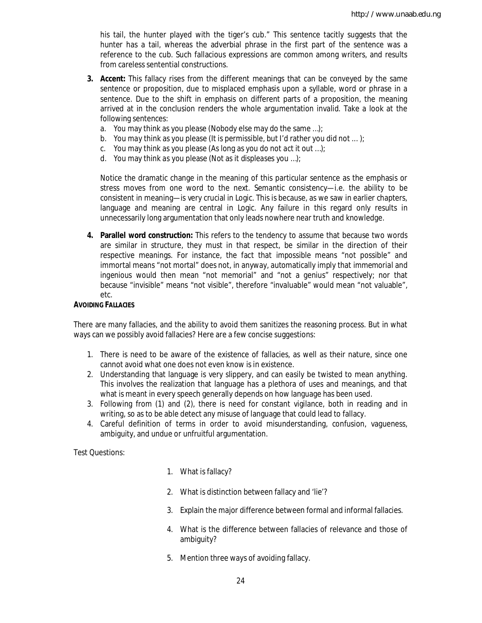his tail, the hunter played with the tiger's cub." This sentence tacitly suggests that the hunter has a tail, whereas the adverbial phrase in the first part of the sentence was a reference to the cub. Such fallacious expressions are common among writers, and results from careless sentential constructions.

- **3. Accent:** This fallacy rises from the different meanings that can be conveyed by the same sentence or proposition, due to misplaced emphasis upon a syllable, word or phrase in a sentence. Due to the shift in emphasis on different parts of a proposition, the meaning arrived at in the conclusion renders the whole argumentation invalid. Take a look at the following sentences:
	- a. *You* may think as you please (Nobody else may do the same …);
	- b. You *may* think as you please (It is permissible, but I'd rather you did not ... );
	- c. You may *think* as you please (As long as you do not *act* it out …);
	- d. You may think *as* you please (Not as it *displeases* you …);

Notice the dramatic change in the meaning of this particular sentence as the emphasis or stress moves from one word to the next. Semantic consistency—i.e. the ability to be consistent in meaning—is very crucial in Logic. This is because, as we saw in earlier chapters, language and meaning are central in Logic. Any failure in this regard only results in unnecessarily long argumentation that only leads nowhere near truth and knowledge.

**4. Parallel word construction:** This refers to the tendency to assume that because two words are similar in structure, they must in that respect, be similar in the direction of their respective meanings. For instance, the fact that *impossible* means "not possible" and immortal means "not mortal" does not, in anyway, automatically imply that *immemorial* and *ingenious* would then mean "not memorial" and "not a genius" respectively; nor that because "invisible" means "not visible", therefore "invaluable" would mean "not valuable", etc.

#### **AVOIDING FALLACIES**

There are many fallacies, and the ability to avoid them sanitizes the reasoning process. But in what ways can we possibly avoid fallacies? Here are a few concise suggestions:

- 1. There is need to be aware of the existence of fallacies, as well as their nature, since one cannot avoid what one does not even know is in existence.
- 2. Understanding that language is very slippery, and can easily be twisted to mean *anything*. This involves the realization that language has a plethora of uses and meanings, and that what is meant in every speech generally depends on how language has been used.
- 3. Following from (1) and (2), there is need for constant vigilance, both in reading and in writing, so as to be able detect any misuse of language that could lead to fallacy.
- 4. Careful definition of terms in order to avoid misunderstanding, confusion, vagueness, ambiguity, and undue or unfruitful argumentation.

Test Questions:

- 1. What is fallacy?
- 2. What is distinction between fallacy and 'lie'?
- 3. Explain the major difference between formal and informal fallacies.
- 4. What is the difference between fallacies of relevance and those of ambiguity?
- 5. Mention three ways of avoiding fallacy.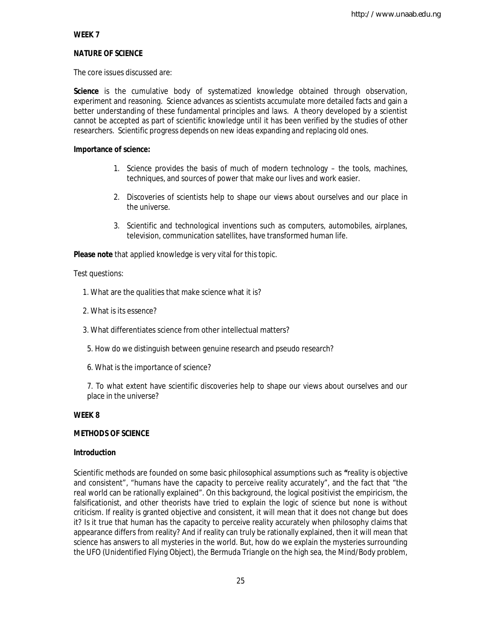## **WEEK 7**

## **NATURE OF SCIENCE**

The core issues discussed are:

**Science** is the cumulative body of systematized knowledge obtained through observation, experiment and reasoning. Science advances as scientists accumulate more detailed facts and gain a better understanding of these fundamental principles and laws. A theory developed by a scientist cannot be accepted as part of scientific knowledge until it has been verified by the studies of other researchers. Scientific progress depends on new ideas expanding and replacing old ones.

## **Importance of science:**

- 1. Science provides the basis of much of modern technology the tools, machines, techniques, and sources of power that make our lives and work easier.
- 2. Discoveries of scientists help to shape our views about ourselves and our place in the universe.
- 3. Scientific and technological inventions such as computers, automobiles, airplanes, television, communication satellites, have transformed human life.

**Please note** that applied knowledge is very vital for this topic.

Test questions:

- 1. What are the qualities that make science what it is?
- 2. What is its essence?
- 3. What differentiates science from other intellectual matters?
- 5. How do we distinguish between genuine research and pseudo research?
- 6. What is the importance of science?

7. To what extent have scientific discoveries help to shape our views about ourselves and our place in the universe?

## **WEEK 8**

## **METHODS OF SCIENCE**

## **Introduction**

Scientific methods are founded on some basic philosophical assumptions such as **"**reality is objective and consistent", "humans have the capacity to perceive reality accurately", and the fact that "the real world can be rationally explained". On this background, the logical positivist the empiricism, the falsificationist, and other theorists have tried to explain the logic of science but none is without criticism. If reality is granted objective and consistent, it will mean that it does not change but does it? Is it true that human has the capacity to perceive reality accurately when philosophy claims that appearance differs from reality? And if reality can truly be rationally explained, then it will mean that science has answers to all mysteries in the world. But, how do we explain the mysteries surrounding the UFO (Unidentified Flying Object), the Bermuda Triangle on the high sea, the Mind/Body problem,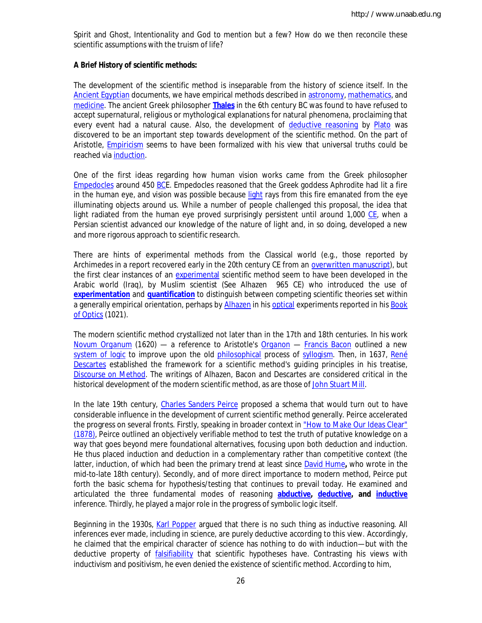Spirit and Ghost, Intentionality and God to mention but a few? How do we then reconcile these scientific assumptions with the truism of life?

## **A Brief History of scientific methods:**

The development of the scientific method is inseparable from the history of science itself. In the Ancient Egyptian documents, we have empirical methods described in astronomy, mathematics, and medicine. The ancient Greek philosopher **Thales** in the 6th century BC was found to have refused to accept supernatural, religious or mythological explanations for natural phenomena, proclaiming that every event had a natural cause. Also, the development of deductive reasoning by Plato was discovered to be an important step towards development of the scientific method. On the part of Aristotle, Empiricism seems to have been formalized with his view that universal truths could be reached via induction.

One of the first ideas regarding how human vision works came from the Greek philosopher Empedocles around 450 BCE. Empedocles reasoned that the Greek goddess Aphrodite had lit a fire in the human eye, and vision was possible because light rays from this fire emanated from the eye illuminating objects around us. While a number of people challenged this proposal, the idea that light radiated from the human eye proved surprisingly persistent until around 1,000 CE, when a Persian scientist advanced our knowledge of the nature of light and, in so doing, developed a new and more rigorous approach to scientific research.

There are hints of experimental methods from the Classical world (e.g., those reported by Archimedes in a report recovered early in the 20th century CE from an overwritten manuscript), but the first clear instances of an experimental scientific method seem to have been developed in the Arabic world (Iraq), by Muslim scientist (See Alhazen 965 CE) who introduced the use of **experimentation** and **quantification** to distinguish between competing scientific theories set within a generally empirical orientation, perhaps by Alhazen in his optical experiments reported in his Book of Optics (1021).

The modern scientific method crystallized not later than in the 17th and 18th centuries. In his work *Novum Organum* (1620) — a reference to Aristotle's *Organon* — Francis Bacon outlined a new system of logic to improve upon the old philosophical process of syllogism. Then, in 1637, René Descartes established the framework for a scientific method's guiding principles in his treatise, *Discourse on Method*. The writings of Alhazen, Bacon and Descartes are considered critical in the historical development of the modern scientific method, as are those of John Stuart Mill.

In the late 19th century, Charles Sanders Peirce proposed a schema that would turn out to have considerable influence in the development of current scientific method generally. Peirce accelerated the progress on several fronts. Firstly, speaking in broader context in "How to Make Our Ideas Clear" (1878), Peirce outlined an objectively verifiable method to test the truth of putative knowledge on a way that goes beyond mere foundational alternatives, focusing upon both *deduction* and *induction*. He thus placed induction and deduction in a complementary rather than competitive context (the latter, induction, of which had been the primary trend at least since David Hume**,** who wrote in the mid-to-late 18th century). Secondly, and of more direct importance to modern method, Peirce put forth the basic schema for hypothesis/testing that continues to prevail today. He examined and articulated the three fundamental modes of reasoning **abductive, deductive, and inductive** inference. Thirdly, he played a major role in the progress of symbolic logic itself.

Beginning in the 1930s, Karl Popper argued that there is no such thing as inductive reasoning. All inferences ever made, including in science, are purely deductive according to this view. Accordingly, he claimed that the empirical character of science has nothing to do with induction—but with the deductive property of falsifiability that scientific hypotheses have. Contrasting his views with inductivism and positivism, he even denied the existence of scientific method. According to him,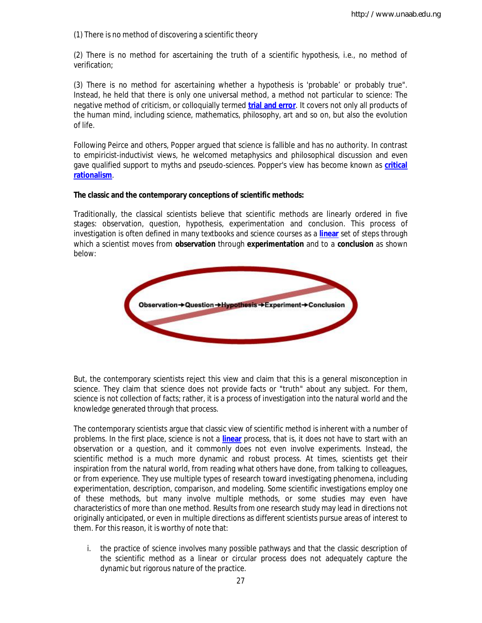(1) There is no method of discovering a scientific theory

(2) There is no method for ascertaining the truth of a scientific hypothesis, i.e., no method of verification;

(3) There is no method for ascertaining whether a hypothesis is 'probable' or probably true". Instead, he held that there is only one universal method, a method not particular to science: The negative method of criticism, or colloquially termed **trial and error**. It covers not only all products of the human mind, including science, mathematics, philosophy, art and so on, but also the evolution of life.

Following Peirce and others, Popper argued that science is fallible and has no authority. In contrast to empiricist-inductivist views, he welcomed metaphysics and philosophical discussion and even gave qualified support to myths and pseudo-sciences. Popper's view has become known as **critical rationalism**.

## **The classic and the contemporary conceptions of scientific methods:**

Traditionally, the classical scientists believe that scientific methods are linearly ordered in five stages: observation, question, hypothesis, experimentation and conclusion. This process of investigation is often defined in many textbooks and science courses as a **linear** set of steps through which a scientist moves from **observation** through **experimentation** and to a **conclusion** as shown below:



But, the contemporary scientists reject this view and claim that this is a general misconception in science. They claim that science does not provide facts or "truth" about any subject. For them, science is not collection of facts; rather, it is a process of investigation into the natural world and the knowledge generated through that process.

The contemporary scientists argue that classic view of scientific method is inherent with a number of problems. In the first place, science is not a **linear** process, that is, it does not have to start with an observation or a question, and it commonly does not even involve experiments. Instead, the scientific method is a much more dynamic and robust process. At times, scientists get their inspiration from the natural world, from reading what others have done, from talking to colleagues, or from experience. They use multiple types of research toward investigating phenomena, including experimentation, description, comparison, and modeling. Some scientific investigations employ one of these methods, but many involve multiple methods, or some studies may even have characteristics of more than one method. Results from one research study may lead in directions not originally anticipated, or even in multiple directions as different scientists pursue areas of interest to them. For this reason, it is worthy of note that:

i. the practice of science involves many possible pathways and that the classic description of the scientific method as a linear or circular process does not adequately capture the dynamic but rigorous nature of the practice.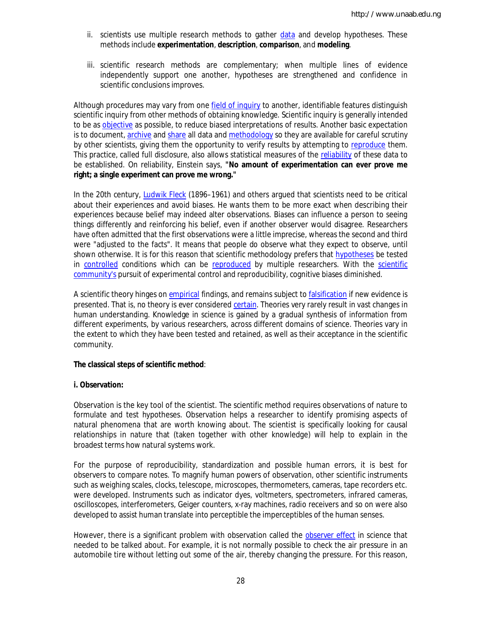- ii. scientists use multiple research methods to gather data and develop hypotheses. These methods include **experimentation**, **description**, **comparison**, and **modeling**.
- iii. scientific research methods are complementary; when multiple lines of evidence independently support one another, hypotheses are strengthened and confidence in scientific conclusions improves.

Although procedures may vary from one field of inquiry to another, identifiable features distinguish scientific inquiry from other methods of obtaining knowledge. Scientific inquiry is generally intended to be as objective as possible, to reduce biased interpretations of results. Another basic expectation is to document, archive and share all data and methodology so they are available for careful scrutiny by other scientists, giving them the opportunity to verify results by attempting to reproduce them. This practice, called *full disclosure*, also allows statistical measures of the reliability of these data to be established. On reliability, Einstein says, **"No amount of experimentation can ever prove me right; a single experiment can prove me wrong."** 

In the 20th century, Ludwik Fleck (1896–1961) and others argued that scientists need to be critical about their experiences and avoid biases. He wants them to be more exact when describing their experiences because belief may indeed alter observations. Biases can influence a person to seeing things differently and reinforcing his belief, even if another observer would disagree. Researchers have often admitted that the first observations were a little imprecise, whereas the second and third were "adjusted to the facts". It means that people do observe what they expect to observe, until shown otherwise. It is for this reason that scientific methodology prefers that hypotheses be tested in controlled conditions which can be reproduced by multiple researchers. With the scientific community's pursuit of experimental control and reproducibility, cognitive biases diminished.

A scientific theory hinges on empirical findings, and remains subject to falsification if new evidence is presented. That is, no theory is ever considered certain. Theories very rarely result in vast changes in human understanding. Knowledge in science is gained by a gradual synthesis of information from different experiments, by various researchers, across different domains of science. Theories vary in the extent to which they have been tested and retained, as well as their acceptance in the scientific community.

#### **The classical steps of scientific method**:

## **i. Observation:**

Observation is the key tool of the scientist. The scientific method requires observations of nature to formulate and test hypotheses. Observation helps a researcher to identify promising aspects of natural phenomena that are worth knowing about. The scientist is specifically looking for causal relationships in nature that (taken together with other knowledge) will help to explain in the broadest terms how natural systems work.

For the purpose of reproducibility, standardization and possible human errors, it is best for observers to compare notes. To magnify human powers of observation, other scientific instruments such as weighing scales, clocks, telescope, microscopes, thermometers, cameras, tape recorders etc. were developed. Instruments such as indicator dyes, voltmeters, spectrometers, infrared cameras, oscilloscopes, interferometers, Geiger counters, x-ray machines, radio receivers and so on were also developed to assist human translate into perceptible the imperceptibles of the human senses.

However, there is a significant problem with observation called the *observer effect* in science that needed to be talked about. For example, it is not normally possible to check the air pressure in an automobile tire without letting out some of the air, thereby changing the pressure. For this reason,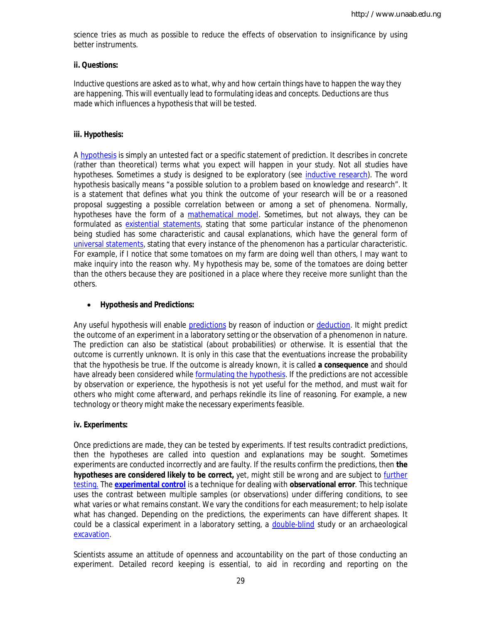science tries as much as possible to reduce the effects of observation to insignificance by using better instruments.

## **ii. Questions:**

Inductive questions are asked as to what, why and how certain things have to happen the way they are happening. This will eventually lead to formulating ideas and concepts. Deductions are thus made which influences a hypothesis that will be tested.

## **iii. Hypothesis:**

A hypothesis is simply an untested fact or a specific statement of prediction. It describes in concrete (rather than theoretical) terms what you expect will happen in your study. Not all studies have hypotheses. Sometimes a study is designed to be exploratory (see inductive research). The word hypothesis basically means "a possible solution to a problem based on knowledge and research". It is a statement that defines what you think the outcome of your research will be or a reasoned proposal suggesting a possible correlation between or among a set of phenomena. Normally, hypotheses have the form of a mathematical model. Sometimes, but not always, they can be formulated as existential statements, stating that some particular instance of the phenomenon being studied has some characteristic and causal explanations, which have the general form of universal statements, stating that every instance of the phenomenon has a particular characteristic. For example, if I notice that some tomatoes on my farm are doing well than others, I may want to make inquiry into the reason why. My hypothesis may be, some of the tomatoes are doing better than the others because they are positioned in a place where they receive more sunlight than the others.

## **Hypothesis and Predictions:**

Any useful hypothesis will enable predictions by reason of induction or deduction. It might predict the outcome of an experiment in a laboratory setting or the observation of a phenomenon in nature. The prediction can also be statistical (about probabilities) or otherwise. It is essential that the outcome is currently unknown. It is only in this case that the eventuations increase the probability that the hypothesis be true. If the outcome is already known, it is called **a consequence** and should have already been considered while formulating the hypothesis. If the predictions are not accessible by observation or experience, the hypothesis is not yet useful for the method, and must wait for others who might come afterward, and perhaps rekindle its line of reasoning. For example, a new technology or theory might make the necessary experiments feasible.

## **iv. Experiments:**

Once predictions are made, they can be tested by experiments. If test results contradict predictions, then the hypotheses are called into question and explanations may be sought. Sometimes experiments are conducted incorrectly and are faulty. If the results confirm the predictions, then **the hypotheses are considered likely to be correct,** yet, might still be wrong and are subject to further testing. The **experimental control** is a technique for dealing with **observational error**. This technique uses the contrast between multiple samples (or observations) under differing conditions, to see what varies or what remains constant. We vary the conditions for each measurement; to help isolate what has changed. Depending on the predictions, the experiments can have different shapes. It could be a classical experiment in a laboratory setting, a double-blind study or an archaeological excavation.

Scientists assume an attitude of openness and accountability on the part of those conducting an experiment. Detailed record keeping is essential, to aid in recording and reporting on the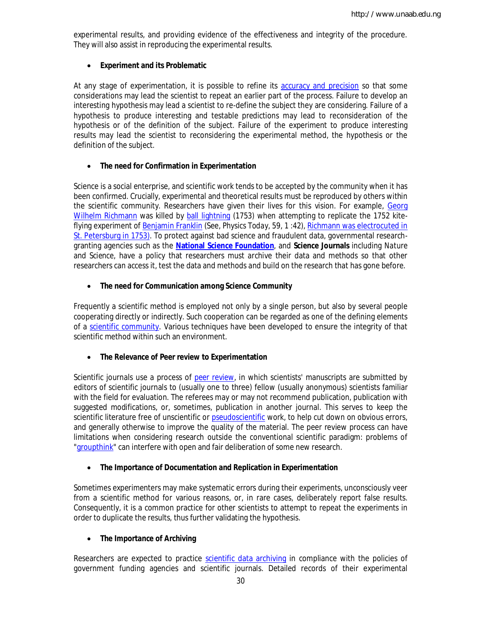experimental results, and providing evidence of the effectiveness and integrity of the procedure. They will also assist in reproducing the experimental results.

## **Experiment and its Problematic**

At any stage of experimentation, it is possible to refine its accuracy and precision so that some considerations may lead the scientist to repeat an earlier part of the process. Failure to develop an interesting hypothesis may lead a scientist to re-define the subject they are considering. Failure of a hypothesis to produce interesting and testable predictions may lead to reconsideration of the hypothesis or of the definition of the subject. Failure of the experiment to produce interesting results may lead the scientist to reconsidering the experimental method, the hypothesis or the definition of the subject.

### **The need for Confirmation in Experimentation**

Science is a social enterprise, and scientific work tends to be accepted by the community when it has been confirmed. Crucially, experimental and theoretical results must be reproduced by others within the scientific community. Researchers have given their lives for this vision. For example, Georg Wilhelm Richmann was killed by ball lightning (1753) when attempting to replicate the 1752 kiteflying experiment of Benjamin Franklin (See, *Physics Today*, 59, 1 :42), Richmann was electrocuted in St. Petersburg in 1753). To protect against bad science and fraudulent data, governmental researchgranting agencies such as the **National Science Foundation**, and **Science Journals** including *Nature* and *Science*, have a policy that researchers must archive their data and methods so that other researchers can access it, test the data and methods and build on the research that has gone before.

### **The need for Communication among Science Community**

Frequently a scientific method is employed not only by a single person, but also by several people cooperating directly or indirectly. Such cooperation can be regarded as one of the defining elements of a scientific community. Various techniques have been developed to ensure the integrity of that scientific method within such an environment.

## **The Relevance of Peer review to Experimentation**

Scientific journals use a process of *peer review*, in which scientists' manuscripts are submitted by editors of scientific journals to (usually one to three) fellow (usually anonymous) scientists familiar with the field for evaluation. The referees may or may not recommend publication, publication with suggested modifications, or, sometimes, publication in another journal. This serves to keep the scientific literature free of unscientific or pseudoscientific work, to help cut down on obvious errors, and generally otherwise to improve the quality of the material. The peer review process can have limitations when considering research outside the conventional scientific paradigm: problems of "groupthink" can interfere with open and fair deliberation of some new research.

## **The Importance of Documentation and Replication in Experimentation**

Sometimes experimenters may make systematic errors during their experiments, unconsciously veer from a scientific method for various reasons, or, in rare cases, deliberately report false results. Consequently, it is a common practice for other scientists to attempt to repeat the experiments in order to duplicate the results, thus further validating the hypothesis.

#### **The Importance of Archiving**

Researchers are expected to practice scientific data archiving in compliance with the policies of government funding agencies and scientific journals. Detailed records of their experimental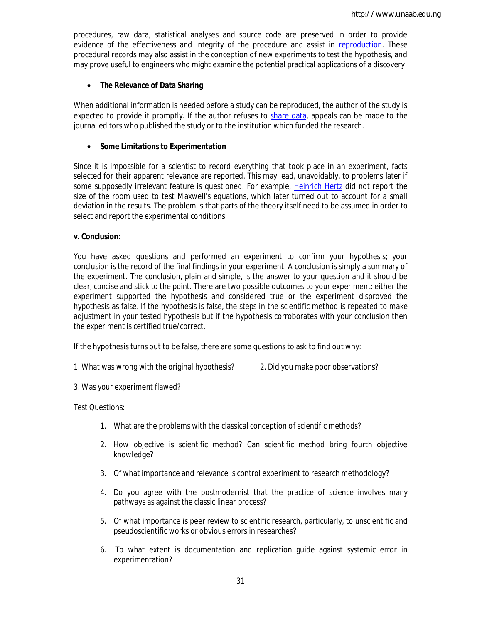procedures, raw data, statistical analyses and source code are preserved in order to provide evidence of the effectiveness and integrity of the procedure and assist in reproduction. These procedural records may also assist in the conception of new experiments to test the hypothesis, and may prove useful to engineers who might examine the potential practical applications of a discovery.

## **The Relevance of Data Sharing**

When additional information is needed before a study can be reproduced, the author of the study is expected to provide it promptly. If the author refuses to share data, appeals can be made to the journal editors who published the study or to the institution which funded the research.

## **Some Limitations to Experimentation**

Since it is impossible for a scientist to record *everything* that took place in an experiment, facts selected for their apparent relevance are reported. This may lead, unavoidably, to problems later if some supposedly irrelevant feature is questioned. For example, Heinrich Hertz did not report the size of the room used to test Maxwell's equations, which later turned out to account for a small deviation in the results. The problem is that parts of the theory itself need to be assumed in order to select and report the experimental conditions.

## **v. Conclusion:**

You have asked questions and performed an experiment to confirm your hypothesis; your conclusion is the record of the final findings in your experiment. A conclusion is simply a summary of the experiment. The conclusion, plain and simple, is the answer to your question and it should be *clear, concise* and *stick to the point*. There are two possible outcomes to your experiment: either the experiment supported the hypothesis and considered true or the experiment disproved the hypothesis as false. If the hypothesis is false, the steps in the scientific method is repeated to make adjustment in your tested hypothesis but if the hypothesis corroborates with your conclusion then the experiment is certified true/correct.

If the hypothesis turns out to be false, there are some questions to ask to find out why:

1. What was wrong with the original hypothesis? 2. Did you make poor observations?

3. Was your experiment flawed?

Test Questions:

- 1. What are the problems with the classical conception of scientific methods?
- 2. How objective is scientific method? Can scientific method bring fourth objective knowledge?
- 3. Of what importance and relevance is control experiment to research methodology?
- 4. Do you agree with the postmodernist that the practice of science involves many pathways as against the classic linear process?
- 5. Of what importance is peer review to scientific research, particularly, to unscientific and pseudoscientific works or obvious errors in researches?
- 6. To what extent is documentation and replication guide against systemic error in experimentation?